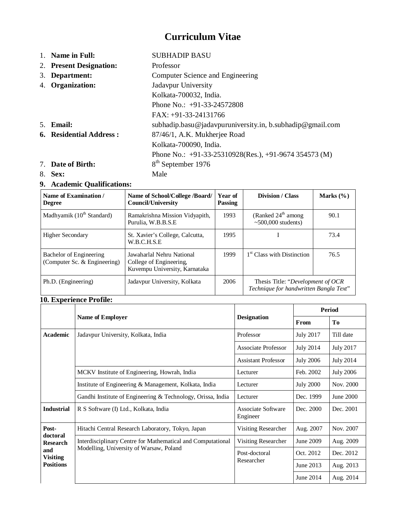# **Curriculum Vitae**

1. **Name in Full:** SUBHADIP BASU 2. **Present Designation:** Professor 3. **Department:** Computer Science and Engineering 4. **Organization:** Jadavpur University Kolkata-700032, India. Phone No.: +91-33-24572808 FAX: +91-33-24131766 5. **Email:** subhadip.basu@jadavpuruniversity.in, b.subhadip@gmail.com **6. Residential Address :** 87/46/1, A.K. Mukherjee Road Kolkata-700090, India. Phone No.: +91-33-25310928(Res.), +91-9674 354573 (M) 7. **Date of Birth:** 8 8<sup>th</sup> September 1976 8. **Sex:** Male

# **9. Academic Qualifications:**

| Name of Examination /<br><b>Degree</b>                  | Name of School/College /Board/<br><b>Council/University</b>                           | Year of<br><b>Passing</b>                                          | Division / Class                                                            | Marks $(\% )$ |
|---------------------------------------------------------|---------------------------------------------------------------------------------------|--------------------------------------------------------------------|-----------------------------------------------------------------------------|---------------|
| Madhyamik $(10th Standard)$                             | Ramakrishna Mission Vidyapith,<br>Purulia, W.B.B.S.E                                  | (Ranked $24^{\text{th}}$ among<br>1993<br>$\sim$ 500,000 students) |                                                                             | 90.1          |
| <b>Higher Secondary</b>                                 | St. Xavier's College, Calcutta,<br>W.B.C.H.S.E                                        | 1995                                                               |                                                                             | 73.4          |
| Bachelor of Engineering<br>(Computer Sc. & Engineering) | Jawaharlal Nehru National<br>College of Engineering,<br>Kuvempu University, Karnataka | 1999                                                               | 1 <sup>st</sup> Class with Distinction                                      | 76.5          |
| Ph.D. (Engineering)                                     | Jadavpur University, Kolkata                                                          | 2006                                                               | Thesis Title: "Development of OCR<br>Technique for handwritten Bangla Text" |               |

### **10. Experience Profile:**

|                             |                                                             |                                       | <b>Period</b>    |                  |
|-----------------------------|-------------------------------------------------------------|---------------------------------------|------------------|------------------|
|                             | Name of Employer                                            | <b>Designation</b>                    | <b>From</b>      | Tо               |
| Academic                    | Jadavpur University, Kolkata, India                         | Professor                             | <b>July 2017</b> | Till date        |
|                             |                                                             | <b>Associate Professor</b>            | July 2014        | <b>July 2017</b> |
|                             |                                                             | <b>Assistant Professor</b>            | <b>July 2006</b> | <b>July 2014</b> |
|                             | MCKV Institute of Engineering, Howrah, India<br>Lecturer    |                                       | Feb. 2002        | <b>July 2006</b> |
|                             | Institute of Engineering & Management, Kolkata, India       | Lecturer                              | <b>July 2000</b> | Nov. 2000        |
|                             | Gandhi Institute of Engineering & Technology, Orissa, India | Lecturer                              | Dec. 1999        | June 2000        |
| <b>Industrial</b>           | R S Software (I) Ltd., Kolkata, India                       | <b>Associate Software</b><br>Engineer | Dec. 2000        | Dec. 2001        |
| Post-                       | Hitachi Central Research Laboratory, Tokyo, Japan           | Visiting Researcher                   | Aug. 2007        | Nov. 2007        |
| doctoral<br><b>Research</b> | Interdisciplinary Centre for Mathematical and Computational | Visiting Researcher                   | June 2009        | Aug. 2009        |
| and<br><b>Visiting</b>      | Modelling, University of Warsaw, Poland                     | Post-doctoral<br>Researcher           | Oct. 2012        | Dec. 2012        |
| <b>Positions</b>            |                                                             |                                       | June 2013        | Aug. 2013        |
|                             |                                                             |                                       | June 2014        | Aug. 2014        |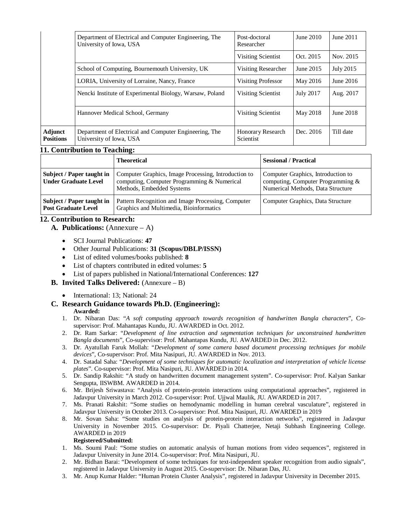|                                    | Department of Electrical and Computer Engineering, The<br>University of Iowa, USA |                                       | June 2010        | June 2011   |
|------------------------------------|-----------------------------------------------------------------------------------|---------------------------------------|------------------|-------------|
|                                    |                                                                                   | Visiting Scientist                    | Oct. 2015        | Nov. 2015   |
|                                    | School of Computing, Bournemouth University, UK                                   | Visiting Researcher                   | June 2015        | July 2015   |
|                                    | LORIA, University of Lorraine, Nancy, France                                      | <b>Visiting Professor</b>             | May 2016         | June $2016$ |
|                                    | Nencki Institute of Experimental Biology, Warsaw, Poland                          | Visiting Scientist                    | <b>July 2017</b> | Aug. 2017   |
|                                    | Hannover Medical School, Germany                                                  | Visiting Scientist                    | May 2018         | June 2018   |
| <b>Adjunct</b><br><b>Positions</b> | Department of Electrical and Computer Engineering, The<br>University of Iowa, USA | <b>Honorary Research</b><br>Scientist | Dec. 2016        | Till date   |

#### **11. Contribution to Teaching:**

|                                                          | <b>Theoretical</b>                                                                                                               | <b>Sessional / Practical</b>                                                                                   |
|----------------------------------------------------------|----------------------------------------------------------------------------------------------------------------------------------|----------------------------------------------------------------------------------------------------------------|
| Subject / Paper taught in<br><b>Under Graduate Level</b> | Computer Graphics, Image Processing, Introduction to<br>computing, Computer Programming & Numerical<br>Methods, Embedded Systems | Computer Graphics, Introduction to<br>computing, Computer Programming $&$<br>Numerical Methods, Data Structure |
| Subject / Paper taught in<br><b>Post Graduate Level</b>  | Pattern Recognition and Image Processing, Computer<br>Graphics and Multimedia, Bioinformatics                                    | Computer Graphics, Data Structure                                                                              |

### **12. Contribution to Research:**

- **A. Publications:** (Annexure A)
	- SCI Journal Publications: **47**
	- Other Journal Publications: **31 (Scopus/DBLP/ISSN)**
	- List of edited volumes/books published: **8**
	- List of chapters contributed in edited volumes: **5**
	- List of papers published in National/International Conferences: **127**
- **B. Invited Talks Delivered:** (Annexure B)
	- International: 13; National: 24
- **C. Research Guidance towards Ph.D. (Engineering): Awarded:**
	- 1. Dr. Nibaran Das: "*A soft computing approach towards recognition of handwritten Bangla characters*", Cosupervisor: Prof. Mahantapas Kundu, JU. AWARDED in Oct. 2012.
	- 2. Dr. Ram Sarkar: "*Development of line extraction and segmentation techniques for unconstrained handwritten Bangla documents*", Co-supervisor: Prof. Mahantapas Kundu, JU. AWARDED in Dec. 2012.
	- 3. Dr. Ayatullah Faruk Mollah: "*Development of some camera based document processing techniques for mobile devices*", Co-supervisor: Prof. Mita Nasipuri, JU. AWARDED in Nov. 2013.
	- 4. Dr. Satadal Saha: "*Development of some techniques for automatic localization and interpretation of vehicle license plates*". Co-supervisor: Prof. Mita Nasipuri, JU. AWARDED in 2014.
	- 5. Dr. Sandip Rakshit: "A study on handwritten document management system". Co-supervisor: Prof. Kalyan Sankar Sengupta, IISWBM. AWARDED in 2014.
	- 6. Mr. Brijesh Sriwastava: "Analysis of protein-protein interactions using computational approaches", registered in Jadavpur University in March 2012. Co-supervisor: Prof. Ujjwal Maulik, JU. AWARDED in 2017.
	- 7. Ms. Pranati Rakshit: "Some studies on hemodynamic modelling in human cerebral vasculature", registered in Jadavpur University in October 2013. Co-supervisor: Prof. Mita Nasipuri, JU. AWARDED in 2019
	- 8. Mr. Sovan Saha: "Some studies on analysis of protein-protein interaction networks", registered in Jadavpur University in November 2015. Co-supervisor: Dr. Piyali Chatterjee, Netaji Subhash Engineering College. AWARDED in 2019

#### **Registered/Submitted:**

- 1. Ms. Soumi Paul: "Some studies on automatic analysis of human motions from video sequences", registered in Jadavpur University in June 2014. Co-supervisor: Prof. Mita Nasipuri, JU.
- 2. Mr. Bidhan Barai: "Development of some techniques for text-independent speaker recognition from audio signals", registered in Jadavpur University in August 2015. Co-supervisor: Dr. Nibaran Das, JU.
- 3. Mr. Anup Kumar Halder: "Human Protein Cluster Analysis", registered in Jadavpur University in December 2015.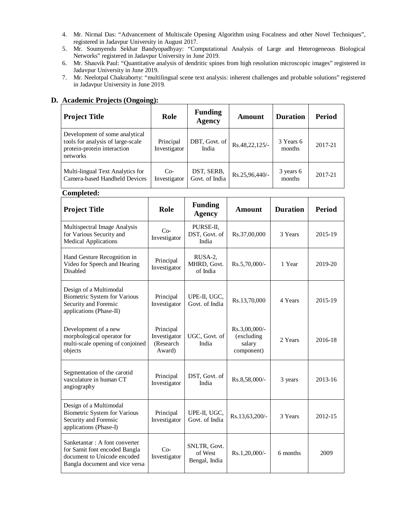- 4. Mr. Nirmal Das: "Advancement of Multiscale Opening Algorithm using Focalness and other Novel Techniques", registered in Jadavpur University in August 2017.
- 5. Mr. Soumyendu Sekhar Bandyopadhyay: "Computational Analysis of Large and Heterogeneous Biological Networks" registered in Jadavpur University in June 2019.
- 6. Mr. Shauvik Paul: "Quantitative analysis of dendritic spines from high resolution microscopic images" registered in Jadavpur University in June 2019.
- 7. Mr. Neelotpal Chakraborty: "multilingual scene text analysis: inherent challenges and probable solutions" registered in Jadavpur University in June 2019.

# **D. Academic Projects (Ongoing):**

| <b>Project Title</b>                                                                                           | Role                      | <b>Funding</b><br>Agency     | Amount           | <b>Duration</b>     | Period  |
|----------------------------------------------------------------------------------------------------------------|---------------------------|------------------------------|------------------|---------------------|---------|
| Development of some analytical<br>tools for analysis of large-scale<br>protein-protein interaction<br>networks | Principal<br>Investigator | DBT, Govt. of<br>India       | Rs.48,22,125/-   | 3 Years 6<br>months | 2017-21 |
| Multi-lingual Text Analytics for<br>Camera-based Handheld Devices                                              | $Co-$<br>Investigator     | DST, SERB,<br>Govt. of India | $Rs.25.96.440/-$ | 3 years 6<br>months | 2017-21 |

**Completed:**

| <b>Project Title</b>                                                                                                            | Role                                             | <b>Funding</b><br><b>Agency</b>          | <b>Amount</b>                                          | <b>Duration</b> | <b>Period</b> |
|---------------------------------------------------------------------------------------------------------------------------------|--------------------------------------------------|------------------------------------------|--------------------------------------------------------|-----------------|---------------|
| Multispectral Image Analysis<br>for Various Security and<br><b>Medical Applications</b>                                         | $Co-$<br>Investigator                            | PURSE-II,<br>DST, Govt. of<br>India      | Rs.37,00,000                                           | 3 Years         | 2015-19       |
| Hand Gesture Recognition in<br>Video for Speech and Hearing<br>Disabled                                                         | Principal<br>Investigator                        | RUSA-2,<br>MHRD, Govt.<br>of India       | Rs.5,70,000/-                                          | 1 Year          | 2019-20       |
| Design of a Multimodal<br><b>Biometric System for Various</b><br>Security and Forensic<br>applications (Phase-II)               | Principal<br>Investigator                        | UPE-II, UGC,<br>Govt. of India           | Rs.13,70,000                                           | 4 Years         | 2015-19       |
| Development of a new<br>morphological operator for<br>multi-scale opening of conjoined<br>objects                               | Principal<br>Investigator<br>(Research<br>Award) | UGC, Govt. of<br>India                   | $Rs.3,00,000/$ -<br>(excluding<br>salary<br>component) | 2 Years         | 2016-18       |
| Segmentation of the carotid<br>vasculature in human CT<br>angiography                                                           | Principal<br>Investigator                        | DST, Govt. of<br>India                   | Rs.8,58,000/-                                          | 3 years         | 2013-16       |
| Design of a Multimodal<br><b>Biometric System for Various</b><br>Security and Forensic<br>applications (Phase-I)                | Principal<br>Investigator                        | UPE-II, UGC,<br>Govt. of India           | Rs.13,63,200/-                                         | 3 Years         | 2012-15       |
| Sanketantar: A font converter<br>for Samit font encoded Bangla<br>document to Unicode encoded<br>Bangla document and vice versa | $Co-$<br>Investigator                            | SNLTR, Govt.<br>of West<br>Bengal, India | $Rs.1,20,000/$ -                                       | 6 months        | 2009          |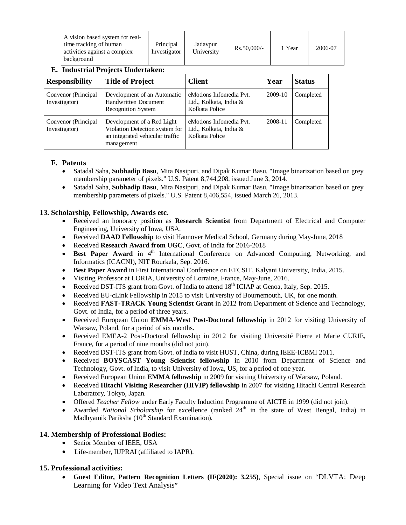| A vision based system for real-                        |                           |                        |               |        |         |
|--------------------------------------------------------|---------------------------|------------------------|---------------|--------|---------|
| time tracking of human<br>activities against a complex | Principal<br>Investigator | Jadavpur<br>University | $Rs.50.000/-$ | 1 Year | 2006-07 |
| background                                             |                           |                        |               |        |         |

## **E. Industrial Projects Undertaken:**

| <b>Responsibility</b>                | <b>Title of Project</b>                                                                                       | <b>Client</b>                                                       | Year    | <b>Status</b> |
|--------------------------------------|---------------------------------------------------------------------------------------------------------------|---------------------------------------------------------------------|---------|---------------|
| Convenor (Principal<br>Investigator) | Development of an Automatic<br><b>Handwritten Document</b><br><b>Recognition System</b>                       | eMotions Infomedia Pvt.<br>Ltd., Kolkata, India &<br>Kolkata Police | 2009-10 | Completed     |
| Convenor (Principal<br>Investigator) | Development of a Red Light<br>Violation Detection system for<br>an integrated vehicular traffic<br>management | eMotions Infomedia Pvt.<br>Ltd., Kolkata, India &<br>Kolkata Police | 2008-11 | Completed     |

### **F. Patents**

- Satadal Saha, **Subhadip Basu**, Mita Nasipuri, and Dipak Kumar Basu. "Image binarization based on grey membership parameter of pixels." U.S. Patent 8,744,208, issued June 3, 2014.
- Satadal Saha, **Subhadip Basu**, Mita Nasipuri, and Dipak Kumar Basu. "Image binarization based on grey membership parameters of pixels." U.S. Patent 8,406,554, issued March 26, 2013.

### **13. Scholarship, Fellowship, Awards etc.**

- Received an honorary position as **Research Scientist** from Department of Electrical and Computer Engineering, University of Iowa, USA.
- Received **DAAD Fellowship** to visit Hannover Medical School, Germany during May-June, 2018
- Received **Research Award from UGC**, Govt. of India for 2016-2018
- **Best Paper Award** in 4<sup>th</sup> International Conference on Advanced Computing, Networking, and Informatics (ICACNI), NIT Rourkela, Sep. 2016.
- **Best Paper Award** in First International Conference on ETCSIT, Kalyani University, India, 2015.
- Visiting Professor at LORIA, University of Lorraine, France, May-June, 2016.
- Received DST-ITS grant from Govt. of India to attend  $18<sup>th</sup>$  ICIAP at Genoa, Italy, Sep. 2015.
- Received EU-cLink Fellowship in 2015 to visit University of Bournemouth, UK, for one month.
- Received **FAST-TRACK Young Scientist Grant** in 2012 from Department of Science and Technology, Govt. of India, for a period of three years.
- Received European Union **EMMA-West Post-Doctoral fellowship** in 2012 for visiting University of Warsaw, Poland, for a period of six months.
- Received EMEA-2 Post-Doctoral fellowship in 2012 for visiting Université Pierre et Marie CURIE, France, for a period of nine months (did not join).
- Received DST-ITS grant from Govt. of India to visit HUST, China, during IEEE-ICBMI 2011.
- Received **BOYSCAST Young Scientist fellowship** in 2010 from Department of Science and Technology, Govt. of India, to visit University of Iowa, US, for a period of one year.
- Received European Union **EMMA fellowship** in 2009 for visiting University of Warsaw, Poland.
- Received **Hitachi Visiting Researcher (HIVIP) fellowship** in 2007 for visiting Hitachi Central Research Laboratory, Tokyo, Japan.
- Offered *Teacher Fellow* under Early Faculty Induction Programme of AICTE in 1999 (did not join).
- Awarded *National Scholarship* for excellence (ranked 24<sup>th</sup> in the state of West Bengal, India) in Madhyamik Pariksha (10<sup>th</sup> Standard Examination).

### **14. Membership of Professional Bodies:**

- Senior Member of IEEE, USA
- Life-member, IUPRAI (affiliated to IAPR).

### **15. Professional activities:**

 **Guest Editor, Pattern Recognition Letters (IF(2020): 3.255)**, Special issue on "DLVTA: Deep Learning for Video Text Analysis"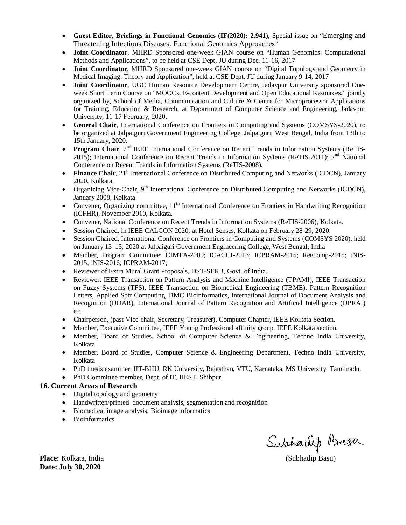- **Guest Editor, Briefings in Functional Genomics (IF(2020): 2.941)**, Special issue on "Emerging and Threatening Infectious Diseases: Functional Genomics Approaches"
- **Joint Coordinator**, MHRD Sponsored one-week GIAN course on "Human Genomics: Computational Methods and Applications", to be held at CSE Dept, JU during Dec. 11-16, 2017
- **Joint Coordinator**, MHRD Sponsored one-week GIAN course on "Digital Topology and Geometry in Medical Imaging: Theory and Application", held at CSE Dept, JU during January 9-14, 2017
- **Joint Coordinator**, UGC Human Resource Development Centre, Jadavpur University sponsored Oneweek Short Term Course on "MOOCs, E-content Development and Open Educational Resources," jointly organized by, School of Media, Communication and Culture & Centre for Microprocessor Applications for Training, Education & Research, at Department of Computer Science and Engineering, Jadavpur University, 11-17 February, 2020.
- **General Chair**, International Conference on Frontiers in Computing and Systems (COMSYS-2020), to be organized at Jalpaiguri Government Engineering College, Jalpaiguri, West Bengal, India from 13th to 15th January, 2020.
- **Program Chair**, 2<sup>nd</sup> IEEE International Conference on Recent Trends in Information Systems (ReTIS-2015); International Conference on Recent Trends in Information Systems (ReTIS-2011); 2<sup>nd</sup> National Conference on Recent Trends in Information Systems (ReTIS-2008).
- **Finance Chair**, 21<sup>st</sup> International Conference on Distributed Computing and Networks (ICDCN), January 2020, Kolkata.
- Organizing Vice-Chair, 9<sup>th</sup> International Conference on Distributed Computing and Networks (ICDCN), January 2008, Kolkata
- Convener, Organizing committee,  $11<sup>th</sup>$  International Conference on Frontiers in Handwriting Recognition (ICFHR), November 2010, Kolkata.
- Convener, National Conference on Recent Trends in Information Systems (ReTIS-2006), Kolkata.
- Session Chaired, in IEEE CALCON 2020, at Hotel Senses, Kolkata on February 28-29, 2020.
- Session Chaired, International Conference on Frontiers in Computing and Systems (COMSYS 2020), held on January 13–15, 2020 at Jalpaiguri Government Engineering College, West Bengal, India
- Member, Program Committee: CIMTA-2009; ICACCI-2013; ICPRAM-2015; RetComp-2015; iNIS-2015; iNIS-2016; ICPRAM-2017;
- Reviewer of Extra Mural Grant Proposals, DST-SERB, Govt. of India.
- Reviewer, IEEE Transaction on Pattern Analysis and Machine Intelligence (TPAMI), IEEE Transaction on Fuzzy Systems (TFS), IEEE Transaction on Biomedical Engineering (TBME), Pattern Recognition Letters, Applied Soft Computing, BMC Bioinformatics, International Journal of Document Analysis and Recognition (IJDAR), International Journal of Pattern Recognition and Artificial Intelligence (IJPRAI) etc.
- Chairperson, (past Vice-chair, Secretary, Treasurer), Computer Chapter, IEEE Kolkata Section.
- Member, Executive Committee, IEEE Young Professional affinity group, IEEE Kolkata section.
- Member, Board of Studies, School of Computer Science & Engineering, Techno India University, Kolkata
- Member, Board of Studies, Computer Science & Engineering Department, Techno India University, Kolkata
- PhD thesis examiner: IIT-BHU, RK University, Rajasthan, VTU, Karnataka, MS University, Tamilnadu.
- PhD Committee member, Dept. of IT, IIEST, Shibpur.

### **16. Current Areas of Research**

- Digital topology and geometry
- Handwritten/printed document analysis, segmentation and recognition
- Biomedical image analysis, Bioimage informatics
- Bioinformatics

**Place:** Kolkata, India (Subhadip Basu)

**Date: July 30, 2020**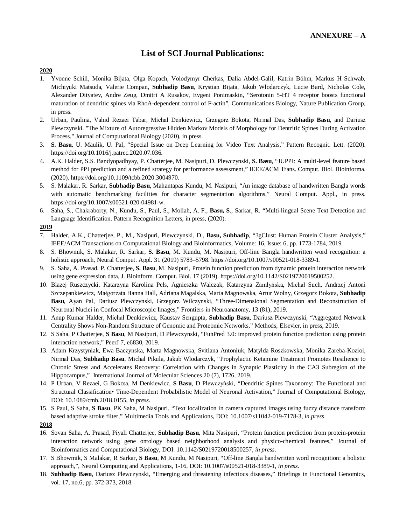## **List of SCI Journal Publications:**

#### **2020**

- 1. Yvonne Schill, Monika Bijata, Olga Kopach, Volodymyr Cherkas, Dalia Abdel-Galil, Katrin Böhm, Markus H Schwab, Michiyuki Matsuda, Valerie Compan, **Subhadip Basu**, Krystian Bijata, Jakub Wlodarczyk, Lucie Bard, Nicholas Cole, Alexander Dityatev, Andre Zeug, Dmitri A Rusakov, Evgeni Ponimaskin, "Serotonin 5-HT 4 receptor boosts functional maturation of dendritic spines via RhoA-dependent control of F-actin", Communications Biology, Nature Publication Group, in press.
- 2. Urban, Paulina, Vahid Rezaei Tabar, Michał Denkiewicz, Grzegorz Bokota, Nirmal Das, **Subhadip Basu**, and Dariusz Plewczynski. "The Mixture of Autoregressive Hidden Markov Models of Morphology for Dentritic Spines During Activation Process." Journal of Computational Biology (2020), in press.
- 3. **S. Basu**, U. Maulik, U. Pal, "Special Issue on Deep Learning for Video Text Analysis," Pattern Recognit. Lett. (2020). https://doi.org/10.1016/j.patrec.2020.07.036.
- 4. A.K. Halder, S.S. Bandyopadhyay, P. Chatterjee, M. Nasipuri, D. Plewczynski, **S. Basu**, "JUPPI: A multi-level feature based method for PPI prediction and a refined strategy for performance assessment," IEEE/ACM Trans. Comput. Biol. Bioinforma. (2020). https://doi.org/10.1109/tcbb.2020.3004970.
- 5. S. Malakar, R. Sarkar, **Subhadip Basu**, Mahantapas Kundu, M. Nasipuri, "An image database of handwritten Bangla words with automatic benchmarking facilities for character segmentation algorithms," Neural Comput. Appl., in press. https://doi.org/10.1007/s00521-020-04981-w.
- 6. Saha, S., Chakraborty, N., Kundu, S., Paul, S., Mollah, A. F., **Basu, S**., Sarkar, R. "Multi-lingual Scene Text Detection and Language Identification. Pattern Recognition Letters, in press, (2020).

#### **2019**

- 7. Halder, A.K., Chatterjee, P., M., Nasipuri, Plewczynski, D., **Basu, Subhadip**, "3gClust: Human Protein Cluster Analysis," IEEE/ACM Transactions on Computational Biology and Bioinformatics, Volume: 16, Issue: 6, pp. 1773-1784, 2019*.*
- 8. S. Bhowmik, S. Malakar, R. Sarkar, **S. Basu**, M. Kundu, M. Nasipuri, Off-line Bangla handwritten word recognition: a holistic approach, Neural Comput. Appl. 31 (2019) 5783–5798. https://doi.org/10.1007/s00521-018-3389-1.
- 9. S. Saha, A. Prasad, P. Chatterjee, **S. Basu**, M. Nasipuri, Protein function prediction from dynamic protein interaction network using gene expression data, J. Bioinform. Comput. Biol. 17 (2019). https://doi.org/10.1142/S0219720019500252.
- 10. Blazej Ruszczycki, Katarzyna Karolina Pels, Agnieszka Walczak, Katarzyna Zamłyńska, Michał Such, Andrzej Antoni Szczepankiewicz, Małgorzata Hanna Hall, Adriana Magalska, Marta Magnowska, Artur Wolny, Grzegorz Bokota, **Subhadip Basu**, Ayan Pal, Dariusz Plewczynski, Grzegorz Wilczynski, "Three-Dimensional Segmentation and Reconstruction of Neuronal Nuclei in Confocal Microscopic Images," Frontiers in Neuroanatomy, 13 (81), 2019.
- 11. Anup Kumar Halder, Michał Denkiewicz, Kaustav Sengupta, **Subhadip Basu**, Dariusz Plewczynski, "Aggregated Network Centrality Shows Non-Random Structure of Genomic and Proteomic Networks," Methods, Elsevier, in press, 2019.
- 12. S Saha, P Chatterjee, **S Basu**, M Nasipuri, D Plewczynski, "FunPred 3.0: improved protein function prediction using protein interaction network," PeerJ 7, e6830, 2019.
- 13. Adam Krzystyniak, Ewa Baczynska, Marta Magnowska, Svitlana Antoniuk, Matylda Roszkowska, Monika Zareba-Koziol, Nirmal Das, **Subhadip Basu**, Michal Pikula, Jakub Wlodarczyk, "Prophylactic Ketamine Treatment Promotes Resilience to Chronic Stress and Accelerates Recovery: Correlation with Changes in Synaptic Plasticity in the CA3 Subregion of the Hippocampus," International Journal of Molecular Sciences 20 (7), 1726, 2019.
- 14. P Urban, V Rezaei, G Bokota, M Denkiewicz, **S Basu**, D Plewczyński, "Dendritic Spines Taxonomy: The Functional and Structural Classification• Time-Dependent Probabilistic Model of Neuronal Activation," Journal of Computational Biology, DOI: 10.1089/cmb.2018.0155, *in press*.
- 15. S Paul, S Saha, **S Basu**, PK Saha, M Nasipuri, "Text localization in camera captured images using fuzzy distance transform based adaptive stroke filter," Multimedia Tools and Applications, DOI: 10.1007/s11042-019-7178-3, *in press*
- **2018**
- 16. Sovan Saha, A. Prasad, Piyali Chatterjee, **Subhadip Basu**, Mita Nasipuri, "Protein function prediction from protein-protein interaction network using gene ontology based neighborhood analysis and physico-chemical features," Journal of Bioinformatics and Computational Biology, DOI: 10.1142/S0219720018500257, *in press*.
- 17. S Bhowmik, S Malakar, R Sarkar, **S Basu**, M Kundu, M Nasipuri, "Off-line Bangla handwritten word recognition: a holistic approach,", Neural Computing and Applications, 1-16, DOI: 10.1007/s00521-018-3389-1, *in press*.
- 18. **Subhadip Basu**, Dariusz Plewczynski, "Emerging and threatening infectious diseases," Briefings in Functional Genomics, vol. 17, no.6, pp. 372-373, 2018.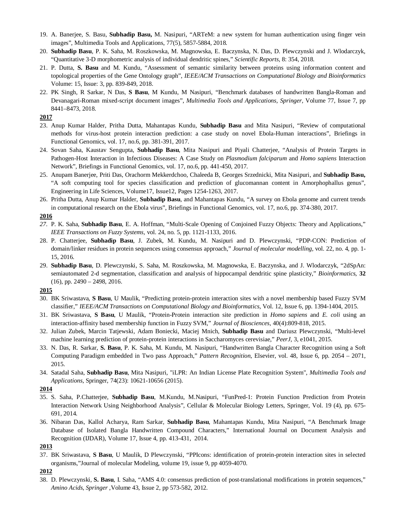- 19. A. Banerjee, S. Basu, **Subhadip Basu,** M. Nasipuri, "ARTeM: a new system for human authentication using finger vein images", Multimedia Tools and Applications, 77(5), 5857-5884, 2018.
- 20. **Subhadip Basu**, P. K. Saha, M. Roszkowska, M. Magnowska, E. Baczynska, N. Das, D. Plewczynski and J. Wlodarczyk, "Quantitative 3-D morphometric analysis of individual dendritic spines," *Scientific Reports,* 8: 354, 2018*.*
- 21. P. Dutta, **S. Basu** and M. Kundu, "Assessment of semantic similarity between proteins using information content and topological properties of the Gene Ontology graph", *IEEE/ACM Transactions on Computational Biology and Bioinformatics* Volume: 15, Issue: 3, pp. 839-849, 2018.
- 22. PK Singh, R Sarkar, N Das, **S Basu**, M Kundu, M Nasipuri, "Benchmark databases of handwritten Bangla-Roman and Devanagari-Roman mixed-script document images", *Multimedia Tools and Applications, Springer,* Volume 77, Issue 7, pp 8441–8473, 2018.

#### **2017**

- 23. Anup Kumar Halder, Pritha Dutta, Mahantapas Kundu, **Subhadip Basu** and Mita Nasipuri, "Review of computational methods for virus-host protein interaction prediction: a case study on novel Ebola-Human interactions", Briefings in Functional Genomics, vol. 17, no.6, pp. 381-391, 2017*.*
- 24. Sovan Saha, Kaustav Sengupta, **Subhadip Basu**, Mita Nasipuri and Piyali Chatterjee, "Analysis of Protein Targets in Pathogen-Host Interaction in Infectious Diseases: A Case Study on *Plasmodium falciparum* and *Homo sapiens* Interaction Network", Briefings in Functional Genomics, vol. 17, no.6, pp. 441-450, 2017*.*
- 25. Anupam Banerjee, Priti Das, Orachorm Mekkerdchoo, Chaleeda B, Georges Srzednicki, Mita Nasipuri, and **Subhadip Basu,** "A soft computing tool for species classification and prediction of glucomannan content in Amorphophallus genus", Engineering in Life Sciences, Volume17, Issue12, Pages 1254-1263, 2017.
- 26. Pritha Dutta, Anup Kumar Halder, **Subhadip Basu**, and Mahantapas Kundu, "A survey on Ebola genome and current trends in computational research on the Ebola virus", Briefings in Functional Genomics, vol. 17, no.6, pp. 374-380, 2017.

#### **2016**

- *27.* P. K. Saha, **Subhadip Basu**, E. A. Hoffman, "Multi-Scale Opening of Conjoined Fuzzy Objects: Theory and Applications," *IEEE Transactions on Fuzzy Systems,* vol. 24, no. 5, pp. 1121-1133, 2016.
- 28. P. Chatterjee, **Subhadip Basu**, J. Zubek, M. Kundu, M. Nasipuri and D. Plewczynski, "PDP-CON: Prediction of domain/linker residues in protein sequences using consensus approach," *Journal of molecular modelling,* vol. 22, no. 4, pp. 1- 15, 2016.
- 29. **Subhadip Basu**, D. Plewczynski, S. Saha, M. Roszkowska, M. Magnowska, E. Baczynska, and J. Wlodarczyk, "2dSpAn: semiautomated 2-d segmentation, classification and analysis of hippocampal dendritic spine plasticity," *Bioinformatics*, **32** (16), pp. 2490 – 2498, 2016.

#### **2015**

- 30. BK Sriwastava, **S Basu**, U Maulik, "Predicting protein-protein interaction sites with a novel membership based Fuzzy SVM classifier," *IEEE/ACM Transactions on Computational Biology and Bioinformatics*, Vol. 12, Issue 6, pp. 1394-1404, 2015.
- 31. BK Sriwastava, **S Basu**, U Maulik, "Protein-Protein interaction site prediction in *Homo sapiens* and *E. coli* using an interaction-affinity based membership function in Fuzzy SVM," *Journal of Biosciences*, 40(4):809-818, 2015.
- 32. Julian Zubek, Marcin Tatjewski, Adam Boniecki, Maciej Mnich, **Subhadip Basu** and Dariusz Plewczynski, "Multi-level machine learning prediction of protein-protein interactions in Saccharomyces cerevisiae," *PeerJ*, 3, e1041, 2015.
- 33. N. Das, R. Sarkar, **S. Basu**, P. K. Saha, M. Kundu, M. Nasipuri, "Handwritten Bangla Character Recognition using a Soft Computing Paradigm embedded in Two pass Approach," *Pattern Recognition*, Elsevier, vol. 48, Issue 6, pp. 2054 – 2071, 2015.
- 34. Satadal Saha, **Subhadip Basu**, Mita Nasipuri, "iLPR: An Indian License Plate Recognition System", *Multimedia Tools and Applications*, Springer, 74(23): 10621-10656 (2015).

#### **2014**

- 35. S. Saha, P.Chatterjee, **Subhadip Basu**, M.Kundu, M.Nasipuri, "FunPred-1: Protein Function Prediction from Protein Interaction Network Using Neighborhood Analysis", Cellular & Molecular Biology Letters, Springer, Vol. 19 (4), pp. 675- 691, 2014.
- 36. Nibaran Das, Kallol Acharya, Ram Sarkar, **Subhadip Basu**, Mahantapas Kundu, Mita Nasipuri, "A Benchmark Image Database of Isolated Bangla Handwritten Compound Characters," International Journal on Document Analysis and Recognition (IJDAR), Volume 17, Issue 4, pp. 413-431, 2014.

37. BK Sriwastava, **S Basu**, U Maulik, D Plewczynski, "PPIcons: identification of protein-protein interaction sites in selected organisms,"Journal of molecular Modeling, volume 19, issue 9, pp 4059-4070.

#### **2012**

38. D. Plewczynski, **S. Basu**, I. Saha, "AMS 4.0: consensus prediction of post-translational modifications in protein sequences," *Amino Acids*, *Springer* ,Volume 43, Issue 2, pp 573-582, 2012*.*

**<sup>2013</sup>**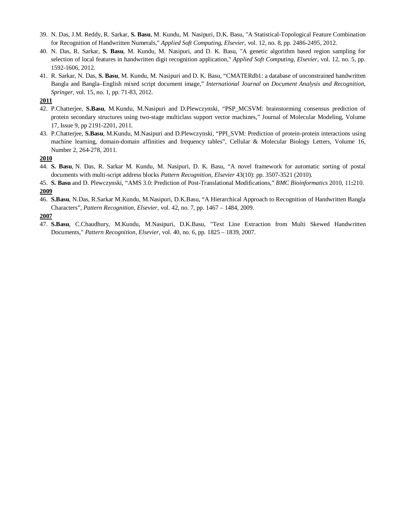- 39. N. Das, J.M. Reddy, R. Sarkar, **S. Basu**, M. Kundu, M. Nasipuri, D.K. Basu, "A Statistical-Topological Feature Combination for Recognition of Handwritten Numerals," *Applied Soft Computing*, *Elsevier*, vol. 12, no. 8, pp. 2486-2495, 2012.
- 40. N. Das, R. Sarkar, **S. Basu**, M. Kundu, M. Nasipuri, and D. K. Basu, "A genetic algorithm based region sampling for selection of local features in handwritten digit recognition application," *Applied Soft Computing*, *Elsevier*, vol. 12, no. 5, pp. 1592-1606, 2012.
- 41. R. Sarkar, N. Das, **S. Basu**, M. Kundu, M. Nasipuri and D. K. Basu, "CMATERdb1: a database of unconstrained handwritten Bangla and Bangla–English mixed script document image," *International Journal on Document Analysis and Recognition*, *Springer*, vol. 15, no. 1, pp. 71-83, 2012.

#### **2011**

- 42. P.Chatterjee, **S.Basu**, M.Kundu, M.Nasipuri and D.Plewczynski, "PSP\_MCSVM: brainstorming consensus prediction of protein secondary structures using two-stage multiclass support vector machines," Journal of Molecular Modeling, Volume 17, Issue 9, pp 2191-2201, 2011.
- 43. P.Chatterjee, **S.Basu**, M.Kundu, M.Nasipuri and D.Plewczynski, "PPI\_SVM: Prediction of protein-protein interactions using machine learning, domain-domain affinities and frequency tables", Cellular & Molecular Biology Letters, Volume 16, Number 2, 264-278, 2011.

#### **2010**

- 44. **S. Basu**, N. Das, R. Sarkar M. Kundu, M. Nasipuri, D. K. Basu, "A novel framework for automatic sorting of postal documents with multi-script address blocks *Pattern Recognition, Elsevier* 43(10): pp. 3507-3521 (2010).
- 45. **S. Basu** and D. Plewczynski, "AMS 3.0: Prediction of Post-Translational Modifications," *BMC Bioinformatics* 2010, 11**:**210. **2009**
- 46. **S.Basu**, N.Das, R.Sarkar M.Kundu, M.Nasipuri, D.K.Basu, "A Hierarchical Approach to Recognition of Handwritten Bangla Characters", *Pattern Recognition, Elsevier*, vol. 42, no. 7, pp. 1467 – 1484, 2009.

#### **2007**

47. **S.Basu**, C.Chaudhury, M.Kundu, M.Nasipuri, D.K.Basu, "Text Line Extraction from Multi Skewed Handwritten Documents," *Pattern Recognition, Elsevier*, vol. 40, no. 6, pp. 1825 – 1839, 2007.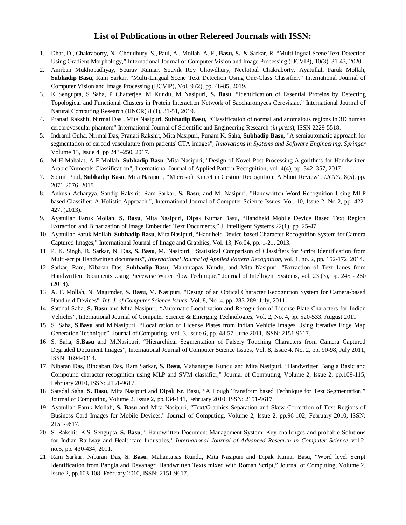### **List of Publications in other Refereed Journals with ISSN:**

- 1. Dhar, D., Chakraborty, N., Choudhury, S., Paul, A., Mollah, A. F., **Basu, S.**, & Sarkar, R. "Multilingual Scene Text Detection Using Gradient Morphology," International Journal of Computer Vision and Image Processing (IJCVIP), 10(3), 31-43, 2020.
- 2. Anirban Mukhopadhyay, Sourav Kumar, Souvik Roy Chowdhury, Neelotpal Chakraborty, Ayatullah Faruk Mollah, **Subhadip Basu**, Ram Sarkar, "Multi-Lingual Scene Text Detection Using One-Class Classifier," International Journal of Computer Vision and Image Processing (IJCVIP), Vol. 9 (2), pp. 48-85, 2019.
- 3. K Sengupta, S Saha, P Chatterjee, M Kundu, M Nasipuri, **S. Basu**, "Identification of Essential Proteins by Detecting Topological and Functional Clusters in Protein Interaction Network of Saccharomyces Cerevisiae," International Journal of Natural Computing Research (IJNCR) 8 (1), 31-51, 2019.
- 4. Pranati Rakshit, Nirmal Das , Mita Nasipuri, **Subhadip Basu**, "Classification of normal and anomalous regions in 3D human cerebrovascular phantom" International Journal of Scientific and Engineering Research (*in press*), ISSN 2229-5518.
- 5. Indranil Guha, Nirmal Das, Pranati Rakshit, Mita Nasipuri, Punam K. Saha, **Subhadip Basu,** "A semiautomatic approach for segmentation of carotid vasculature from patients' CTA images", *Innovations in Systems and Software Engineering, Springer* Volume 13, Issue 4, pp 243–250, 2017*.*
- 6. M H Mahalat, A F Mollah, **Subhadip Basu**, Mita Nasipuri, "Design of Novel Post-Processing Algorithms for Handwritten Arabic Numerals Classification", International Journal of Applied Pattern Recognition, vol. 4(4), pp. 342–357, 2017.
- 7. Soumi Paul, **Subhadip Basu**, Mita Nasipuri, "Microsoft Kinect in Gesture Recognition: A Short Review", *IJCTA*, 8(5), pp. 2071-2076, 2015.
- 8. Ankush Acharyya, Sandip Rakshit, Ram Sarkar, **S. Basu**, and M. Nasipuri. "Handwritten Word Recognition Using MLP based Classifier: A Holistic Approach.", International Journal of Computer Science Issues, Vol. 10, Issue 2, No 2, pp. 422- 427, (2013).
- 9. Ayatullah Faruk Mollah, **S. Basu**, Mita Nasipuri, Dipak Kumar Basu, "Handheld Mobile Device Based Text Region Extraction and Binarization of Image Embedded Text Documents," J. Intelligent Systems 22(1), pp. 25-47.
- 10. Ayatullah Faruk Mollah, **Subhadip Basu**, Mita Nasipuri, "Handheld Device-based Character Recognition System for Camera Captured Images," International Journal of Image and Graphics, Vol. 13, No.04, pp. 1-21, 2013.
- 11. P. K. Singh, R. Sarkar, N. Das, **S. Basu**, M. Nasipuri, "Statistical Comparison of Classifiers for Script Identification from Multi-script Handwritten documents", *International Journal of Applied Pattern Recognition*, vol. 1, no. 2, pp. 152-172, 2014.
- 12. Sarkar, Ram, Nibaran Das, **Subhadip Basu**, Mahantapas Kundu, and Mita Nasipuri. "Extraction of Text Lines from Handwritten Documents Using Piecewise Water Flow Technique," Journal of Intelligent Systems, vol. 23 (3), pp. 245 - 260 (2014).
- 13. A. F. Mollah, N. Majumder, **S. Basu**, M. Nasipuri, "Design of an Optical Character Recognition System for Camera-based Handheld Devices", *Int. J. of Computer Science Issues*, Vol. 8, No. 4, pp. 283-289, July, 2011.
- 14. Satadal Saha, **S. Basu** and Mita Nasipuri, "Automatic Localization and Recognition of License Plate Characters for Indian Vehicles", International Journal of Computer Science & Emerging Technologies, Vol. 2, No. 4, pp. 520-533, August 2011.
- 15. S. Saha, **S.Basu** and M.Nasipuri, "Localization of License Plates from Indian Vehicle Images Using Iterative Edge Map Generation Technique", Journal of Computing, Vol. 3, Issue 6, pp. 48-57, June 2011, ISSN: 2151-9617.
- 16. S. Saha, **S.Basu** and M.Nasipuri, "Hierarchical Segmentation of Falsely Touching Characters from Camera Captured Degraded Document Images", International Journal of Computer Science Issues, Vol. 8, Issue 4, No. 2, pp. 90-98, July 2011, ISSN: 1694-0814.
- 17. Nibaran Das, Bindaban Das, Ram Sarkar, **S. Basu**, Mahantapas Kundu and Mita Nasipuri, "Handwritten Bangla Basic and Compound character recognition using MLP and SVM classifier," Journal of Computing, Volume 2, Issue 2, pp.109-115, February 2010, ISSN: 2151-9617.
- 18. Satadal Saha, **S. Basu**, Mita Nasipuri and Dipak Kr. Basu, "A Hough Transform based Technique for Text Segmentation," Journal of Computing, Volume 2, Issue 2, pp.134-141, February 2010, ISSN: 2151-9617.
- 19. Ayatullah Faruk Mollah, **S. Basu** and Mita Nasipuri, "Text/Graphics Separation and Skew Correction of Text Regions of Business Card Images for Mobile Devices," Journal of Computing, Volume 2, Issue 2, pp.96-102, February 2010, ISSN: 2151-9617.
- 20. S. Rakshit, K.S. Sengupta, **S. Basu**, *"* Handwritten Document Management System: Key challenges and probable Solutions for Indian Railway and Healthcare Industries*," International Journal of Advanced Research in Computer Science,* vol.2, no.5, pp. 430-434, 2011*.*
- 21. Ram Sarkar, Nibaran Das, **S. Basu**, Mahantapas Kundu, Mita Nasipuri and Dipak Kumar Basu, "Word level Script Identification from Bangla and Devanagri Handwritten Texts mixed with Roman Script," Journal of Computing, Volume 2, Issue 2, pp.103-108, February 2010, ISSN: 2151-9617.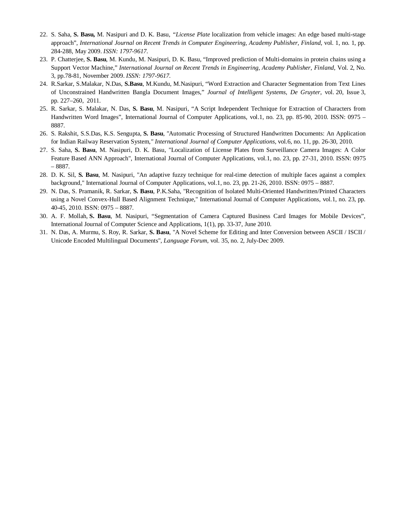- 22. S. Saha, **S. Basu,** M. Nasipuri and D. K. Basu, *"License Plate* localization from vehicle images: An edge based multi-stage approach", *International Journal on Recent Trends in Computer Engineering, Academy Publisher, Finland*, vol. 1, no. 1, pp. 284-288, May 2009. *ISSN: 1797-9617*.
- 23. P. Chatterjee, **S. Basu**, M. Kundu, M. Nasipuri, D. K. Basu, "Improved prediction of Multi-domains in protein chains using a Support Vector Machine," *International Journal on Recent Trends in Engineering, Academy Publisher, Finland*, Vol. 2, No. 3, pp.78-81, November 2009. *ISSN: 1797-9617.*
- 24. R.Sarkar, S.Malakar, N.Das, **S.Basu**, M.Kundu, M.Nasipuri, "Word Extraction and Character Segmentation from Text Lines of Unconstrained Handwritten Bangla Document Images," *Journal of Intelligent Systems*, *De Gruyter*, vol. 20, Issue 3, pp. 227–260, 2011.
- 25. R. Sarkar, S. Malakar, N. Das, **S. Basu**, M. Nasipuri, "A Script Independent Technique for Extraction of Characters from Handwritten Word Images", International Journal of Computer Applications, vol.1, no. 23, pp. 85-90, 2010. ISSN: 0975 – 8887.
- 26. S. Rakshit, S.S.Das, K.S. Sengupta, **S. Basu**, *"*Automatic Processing of Structured Handwritten Documents: An Application for Indian Railway Reservation System*," International Journal of Computer Applications,* vol.6, no. 11, pp. 26-30, 2010*.*
- 27. S. Saha, **S. Basu**, M. Nasipuri, D. K. Basu, "Localization of License Plates from Surveillance Camera Images: A Color Feature Based ANN Approach", International Journal of Computer Applications, vol.1, no. 23, pp. 27-31, 2010. ISSN: 0975 – 8887.
- 28. D. K. Sil, **S. Basu**, M. Nasipuri, "An adaptive fuzzy technique for real-time detection of multiple faces against a complex background," International Journal of Computer Applications, vol.1, no. 23, pp. 21-26, 2010. ISSN: 0975 – 8887.
- 29. N. Das, S. Pramanik, R. Sarkar, **S. Basu**, P.K.Saha, "Recognition of Isolated Multi-Oriented Handwritten/Printed Characters using a Novel Convex-Hull Based Alignment Technique," International Journal of Computer Applications, vol.1, no. 23, pp. 40-45, 2010. ISSN: 0975 – 8887.
- 30. A. F. Mollah, **S. Basu**, M. Nasipuri, "Segmentation of Camera Captured Business Card Images for Mobile Devices", International Journal of Computer Science and Applications, 1(1), pp. 33-37, June 2010.
- 31. N. Das, A. Murmu, S. Roy, R. Sarkar, **S. Basu**, "A Novel Scheme for Editing and Inter Conversion between ASCII / ISCII / Unicode Encoded Multilingual Documents", *Language Forum*, vol. 35, no. 2, July-Dec 2009.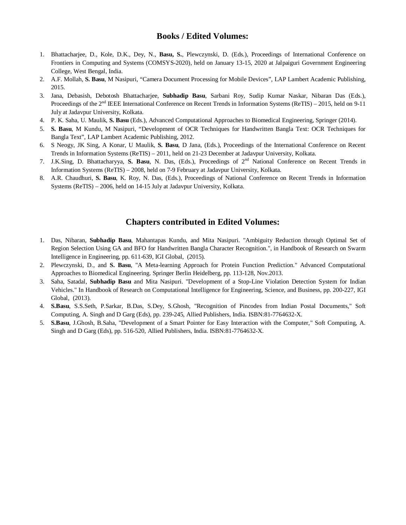### **Books / Edited Volumes:**

- 1. Bhattacharjee, D., Kole, D.K., Dey, N., **Basu, S.**, Plewczynski, D. (Eds.), Proceedings of International Conference on Frontiers in Computing and Systems (COMSYS-2020), held on January 13-15, 2020 at Jalpaiguri Government Engineering College, West Bengal, India.
- 2. A.F. Mollah, **S. Basu**, M Nasipuri, "Camera Document Processing for Mobile Devices", LAP Lambert Academic Publishing, 2015.
- 3. Jana, Debasish, Debotosh Bhattacharjee, **Subhadip Basu**, Sarbani Roy, Sudip Kumar Naskar, Nibaran Das (Eds.), Proceedings of the 2<sup>nd</sup> IEEE International Conference on Recent Trends in Information Systems (ReTIS) – 2015, held on 9-11 July at Jadavpur University, Kolkata.
- 4. P. K. Saha, U. Maulik, **S. Basu** (Eds.), Advanced Computational Approaches to Biomedical Engineering, Springer (2014).
- 5. **S. Basu**, M Kundu, M Nasipuri, "Development of OCR Techniques for Handwritten Bangla Text: OCR Techniques for Bangla Text", LAP Lambert Academic Publishing, 2012.
- 6. S Neogy, JK Sing, A Konar, U Maulik, **S. Basu**, D Jana, (Eds.), Proceedings of the International Conference on Recent Trends in Information Systems (ReTIS) – 2011, held on 21-23 December at Jadavpur University, Kolkata.
- 7. J.K.Sing, D. Bhattacharyya, **S. Basu**, N. Das, (Eds.), Proceedings of 2 nd National Conference on Recent Trends in Information Systems (ReTIS) – 2008, held on 7-9 February at Jadavpur University, Kolkata.
- 8. A.R. Chaudhuri, **S. Basu**, K. Roy, N. Das, (Eds.), Proceedings of National Conference on Recent Trends in Information Systems (ReTIS) – 2006, held on 14-15 July at Jadavpur University, Kolkata.

### **Chapters contributed in Edited Volumes:**

- 1. Das, Nibaran, **Subhadip Basu**, Mahantapas Kundu, and Mita Nasipuri. "Ambiguity Reduction through Optimal Set of Region Selection Using GA and BFO for Handwritten Bangla Character Recognition.", in Handbook of Research on Swarm Intelligence in Engineering, pp. 611-639, IGI Global, (2015).
- 2. Plewczynski, D., and **S. Basu**, "A Meta-learning Approach for Protein Function Prediction." Advanced Computational Approaches to Biomedical Engineering. Springer Berlin Heidelberg, pp. 113-128, Nov.2013.
- 3. Saha, Satadal, **Subhadip Basu** and Mita Nasipuri. "Development of a Stop-Line Violation Detection System for Indian Vehicles." In Handbook of Research on Computational Intelligence for Engineering, Science, and Business, pp. 200-227, IGI Global, (2013).
- 4. **S.Basu**, S.S.Seth, P.Sarkar, B.Das, S.Dey, S.Ghosh, "Recognition of Pincodes from Indian Postal Documents," Soft Computing, A. Singh and D Garg (Eds), pp. 239-245, Allied Publishers, India. ISBN:81-7764632-X.
- 5. **S.Basu**, J.Ghosh, B.Saha, "Development of a Smart Pointer for Easy Interaction with the Computer," Soft Computing, A. Singh and D Garg (Eds), pp. 516-520, Allied Publishers, India. ISBN:81-7764632-X.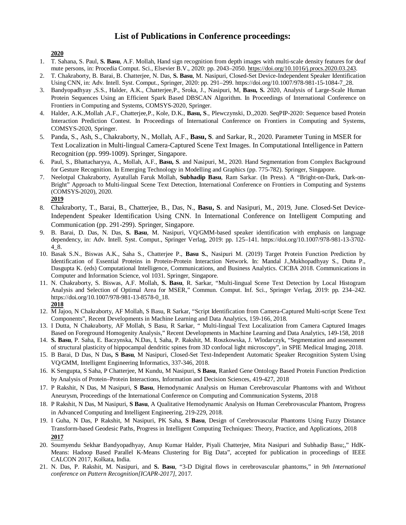### **List of Publications in Conference proceedings:**

**2020**

- 1. T. Sahana, S. Paul, **S. Basu**, A.F. Mollah, Hand sign recognition from depth images with multi-scale density features for deaf mute persons, in: Procedia Comput. Sci., Elsevier B.V., 2020: pp. 2043–2050. https://doi.org/10.1016/j.procs.2020.03.243.
- 2. T. Chakraborty, B. Barai, B. Chatterjee, N. Das, **S. Basu**, M. Nasipuri, Closed-Set Device-Independent Speaker Identification Using CNN, in: Adv. Intell. Syst. Comput., Springer, 2020: pp. 291–299. https://doi.org/10.1007/978-981-15-1084-7\_28.
- 3. Bandyopadhyay ,S.S., Halder, A.K., Chatterjee,P., Sroka, J., Nasipuri, M, **Basu, S.** 2020, Analysis of Large-Scale Human Protein Sequences Using an Efficient Spark Based DBSCAN Algorithm. In Proceedings of International Conference on Frontiers in Computing and Systems, COMSYS-2020, Springer.
- 4. Halder, A.K.,Mollah ,A.F., Chatterjee,P., Kole, D.K., **Basu, S**., Plewczynski, D.,2020. SeqPIP-2020: Sequence based Protein Interaction Prediction Contest. In Proceedings of International Conference on Frontiers in Computing and Systems, COMSYS-2020, Springer.
- 5. Panda, S., Ash, S., Chakraborty, N., Mollah, A.F., **Basu, S**. and Sarkar, R., 2020. Parameter Tuning in MSER for Text Localization in Multi-lingual Camera-Captured Scene Text Images. In Computational Intelligence in Pattern Recognition (pp. 999-1009). Springer, Singapore.
- 6. Paul, S., Bhattacharyya, A., Mollah, A.F., **Basu, S**. and Nasipuri, M., 2020. Hand Segmentation from Complex Background for Gesture Recognition. In Emerging Technology in Modelling and Graphics (pp. 775-782). Springer, Singapore.
- 7. Neelotpal Chakraborty, Ayatullah Faruk Mollah, **Subhadip Basu**, Ram Sarkar. (In Press). A "Bright-on-Dark, Dark-on-Bright" Approach to Multi-lingual Scene Text Detection, International Conference on Frontiers in Computing and Systems (COMSYS-2020), 2020.
	- **2019**
- 8. Chakraborty, T., Barai, B., Chatterjee, B., Das, N., **Basu, S**. and Nasipuri, M., 2019, June. Closed-Set Device-Independent Speaker Identification Using CNN. In International Conference on Intelligent Computing and Communication (pp. 291-299). Springer, Singapore.
- 9. B. Barai, D. Das, N. Das, **S. Basu**, M. Nasipuri, VQ/GMM-based speaker identification with emphasis on language dependency, in: Adv. Intell. Syst. Comput., Springer Verlag, 2019: pp. 125–141. https://doi.org/10.1007/978-981-13-3702- 4\_8.
- 10. Basak S.N., Biswas A.K., Saha S., Chatterjee P., **Basu S.**, Nasipuri M. (2019) Target Protein Function Prediction by Identification of Essential Proteins in Protein-Protein Interaction Network. In: Mandal J.,Mukhopadhyay S., Dutta P., Dasgupta K. (eds) Computational Intelligence, Communications, and Business Analytics. CICBA 2018. Communications in Computer and Information Science, vol 1031. Springer, Singapore.
- 11. N. Chakraborty, S. Biswas, A.F. Mollah, **S. Basu**, R. Sarkar, "Multi-lingual Scene Text Detection by Local Histogram Analysis and Selection of Optimal Area for MSER," Commun. Comput. Inf. Sci., Springer Verlag, 2019: pp. 234–242. https://doi.org/10.1007/978-981-13-8578-0\_18. **2018**
- 12. M Jajoo, N Chakraborty, AF Mollah, S Basu, R Sarkar, "Script Identification from Camera-Captured Multi-script Scene Text Components", Recent Developments in Machine Learning and Data Analytics, 159-166, 2018.
- 13. I Dutta, N Chakraborty, AF Mollah, S Basu, R Sarkar, " Multi-lingual Text Localization from Camera Captured Images Based on Foreground Homogenity Analysis," Recent Developments in Machine Learning and Data Analytics, 149-158, 2018
- 14. **S. Basu**, P. Saha, E. Baczynska, N.Das, I, Saha, P. Rakshit, M. Roszkowska, J. Wlodarczyk, "Segmentation and assessment of structural plasticity of hippocampal dendritic spines from 3D confocal light microscopy", in SPIE Medical Imaging, 2018.
- 15. B Barai, D Das, N Das**, S Basu**, M Nasipuri, Closed-Set Text-Independent Automatic Speaker Recognition System Using VQ/GMM, Intelligent Engineering Informatics, 337-346, 2018.
- 16. K Sengupta, S Saha, P Chatterjee, M Kundu, M Nasipuri, **S Basu**, Ranked Gene Ontology Based Protein Function Prediction by Analysis of Protein–Protein Interactions, Information and Decision Sciences, 419-427, 2018
- 17. P Rakshit, N Das, M Nasipuri, **S Basu**, Hemodynamic Analysis on Human Cerebrovascular Phantoms with and Without Aneurysm, Proceedings of the International Conference on Computing and Communication Systems, 2018
- 18. P Rakshit, N Das, M Nasipuri, **S Basu**, A Qualitative Hemodynamic Analysis on Human Cerebrovascular Phantom, Progress in Advanced Computing and Intelligent Engineering, 219-229, 2018.
- 19. I Guha, N Das, P Rakshit, M Nasipuri, PK Saha, **S Basu**, Design of Cerebrovascular Phantoms Using Fuzzy Distance Transform-based Geodesic Paths, Progress in Intelligent Computing Techniques: Theory, Practice, and Applications, 2018 **2017**
- 20. Soumyendu Sekhar Bandyopadhyay, Anup Kumar Halder, Piyali Chatterjee, Mita Nasipuri and Subhadip Basu;," HdK-Means: Hadoop Based Parallel K-Means Clustering for Big Data", accepted for publication in proceedings of IEEE CALCON 2017, Kolkata, India.
- 21. N. Das, P. Rakshit, M. Nasipuri, and **S. Basu**, "3-D Digital flows in cerebrovascular phantoms," in *9th International conference on Pattern Recognition[ICAPR-2017]*, 2017.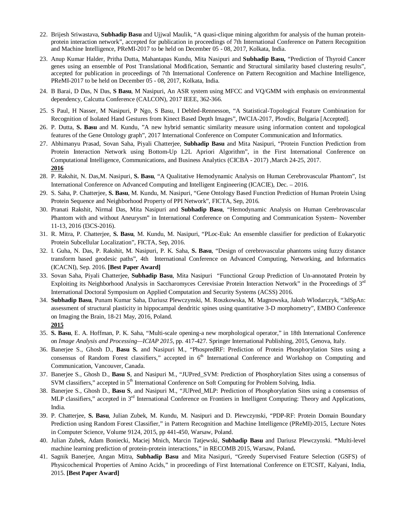- 22. Brijesh Sriwastava, **Subhadip Basu** and Ujjwal Maulik, "A quasi-clique mining algorithm for analysis of the human proteinprotein interaction network", accepted for publication in proceedings of 7th International Conference on Pattern Recognition and Machine Intelligence, PReMI-2017 to be held on December 05 - 08, 2017, Kolkata, India.
- 23. Anup Kumar Halder, Pritha Dutta, Mahantapas Kundu, Mita Nasipuri and **Subhadip Basu,** "Prediction of Thyroid Cancer genes using an ensemble of Post Translational Modification, Semantic and Structural similarity based clustering results", accepted for publication in proceedings of 7th International Conference on Pattern Recognition and Machine Intelligence, PReMI-2017 to be held on December 05 - 08, 2017, Kolkata, India.
- 24. B Barai, D Das, N Das, **S Basu**, M Nasipuri, An ASR system using MFCC and VQ/GMM with emphasis on environmental dependency, Calcutta Conference (CALCON), 2017 IEEE, 362-366.
- 25. S Paul, H Nasser, M Nasipuri, P Ngo, S Basu, I Debled-Rennesson, "A Statistical-Topological Feature Combination for Recognition of Isolated Hand Gestures from Kinect Based Depth Images", IWCIA-2017, Plovdiv, Bulgaria [Accepted].
- 26. P. Dutta, **S. Basu** and M. Kundu, "A new hybrid semantic similarity measure using information content and topological features of the Gene Ontology graph", 2017 International Conference on Computer Communication and Informatics.
- 27. Abhimanyu Prasad, Sovan Saha, Piyali Chatterjee, **Subhadip Basu** and Mita Nasipuri, "Protein Function Prediction from Protein Interaction Network using Bottom-Up L2L Apriori Algorithm", in the First International Conference on Computational Intelligence, Communications, and Business Analytics (CICBA - 2017) ,March 24-25, 2017. **2016**
- 28. P. Rakshit, N. Das,M. Nasipuri, **S. Basu**, "A Qualitative Hemodynamic Analysis on Human Cerebrovascular Phantom", 1st International Conference on Advanced Computing and Intelligent Engineering (ICACIE), Dec. – 2016.
- 29. S. Saha, P. Chatterjee, **S. Basu**, M. Kundu, M. Nasipuri, "Gene Ontology Based Function Prediction of Human Protein Using Protein Sequence and Neighborhood Property of PPI Network", FICTA, Sep, 2016.
- 30. Pranati Rakshit, Nirmal Das, Mita Nasipuri and **Subhadip Basu**, "Hemodynamic Analysis on Human Cerebrovascular Phantom with and without Aneurysm" in International Conference on Computing and Communication System– November 11-13, 2016 (I3CS-2016).
- 31. R. Mitra, P. Chatterjee, **S. Basu**, M. Kundu, M. Nasipuri, "PLoc-Euk: An ensemble classifier for prediction of Eukaryotic Protein Subcellular Localization", FICTA, Sep, 2016.
- 32. I. Guha, N. Das, P. Rakshit, M. Nasipuri, P. K. Saha, **S. Basu**, "Design of cerebrovascular phantoms using fuzzy distance transform based geodesic paths", 4th International Conference on Advanced Computing, Networking, and Informatics (ICACNI), Sep. 2016. **[Best Paper Award]**
- 33. Sovan Saha, Piyali Chatterjee, **Subhadip Basu**, Mita Nasipuri "Functional Group Prediction of Un-annotated Protein by Exploiting its Neighborhood Analysis in Saccharomyces Cerevisiae Protein Interaction Network" in the Proceedings of 3rd International Doctoral Symposium on Applied Computation and Security Systems (ACSS) 2016.
- 34. **Subhadip Basu**, Punam Kumar Saha, Dariusz Plewczynski, M. Roszkowska, M. Magnowska, Jakub Wlodarczyk, "3dSpAn: assessment of structural plasticity in hippocampal dendritic spines using quantitative 3-D morphometry", EMBO Conference on Imaging the Brain, 18-21 May, 2016, Poland. **2015**
- 35. **S. Basu**, E. A. Hoffman, P. K. Saha, "Multi-scale opening-a new morphological operator," in 18th International Conference on *Image Analysis and Processing—ICIAP 2015*, pp. 417-427. Springer International Publishing, 2015, Genova, Italy.
- 36. Banerjee S., Ghosh D., **Basu S.** and Nasipuri M., "PhospredRF: Prediction of Protein Phosphorylation Sites using a consensus of Random Forest classifiers," accepted in 6<sup>th</sup> International Conference and Workshop on Computing and Communication, Vancouver, Canada.
- 37. Banerjee S., Ghosh D., **Basu S**, and Nasipuri M., "JUPred\_SVM: Prediction of Phosphorylation Sites using a consensus of SVM classifiers," accepted in 5<sup>th</sup> International Conference on Soft Computing for Problem Solving, India.
- 38. Banerjee S., Ghosh D., **Basu S**, and Nasipuri M., "JUPred\_MLP: Prediction of Phosphorylation Sites using a consensus of MLP classifiers," accepted in 3<sup>rd</sup> International Conference on Frontiers in Intelligent Computing: Theory and Applications, India.
- 39. P. Chatterjee, **S. Basu**, Julian Zubek, M. Kundu, M. Nasipuri and D. Plewczynski, "PDP-RF: Protein Domain Boundary Prediction using Random Forest Classifier," in Pattern Recognition and Machine Intelligence (PReMI)-2015, Lecture Notes in Computer Science, Volume 9124, 2015, pp 441-450, Warsaw, Poland.
- 40. Julian Zubek, Adam Boniecki, Maciej Mnich, Marcin Tatjewski, **Subhadip Basu** and Dariusz Plewczynski. **"**Multi-level machine learning prediction of protein-protein interactions," in RECOMB 2015, Warsaw, Poland**.**
- 41. Sagnik Banerjee, Angan Mitra, **Subhadip Basu** and Mita Nasipuri, "Greedy Supervised Feature Selection (GSFS) of Physicochemical Properties of Amino Acids," in proceedings of First International Conference on ETCSIT, Kalyani, India, 2015. **[Best Paper Award]**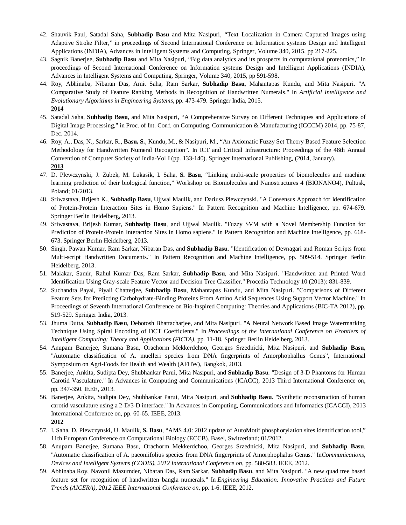- 42. Shauvik Paul, Satadal Saha, **Subhadip Basu** and Mita Nasipuri, "Text Localization in Camera Captured Images using Adaptive Stroke Filter," in proceedings of Second International Conference on Information systems Design and Intelligent Applications (INDIA), Advances in Intelligent Systems and Computing, Springer, Volume 340, 2015, pp 217-225.
- 43. Sagnik Banerjee, **Subhadip Basu** and Mita Nasipuri, "Big data analytics and its prospects in computational proteomics," in proceedings of Second International Conference on Information systems Design and Intelligent Applications (INDIA), Advances in Intelligent Systems and Computing, Springer, Volume 340, 2015, pp 591-598.
- 44. Roy, Abhinaba, Nibaran Das, Amit Saha, Ram Sarkar, **Subhadip Basu**, Mahantapas Kundu, and Mita Nasipuri. "A Comparative Study of Feature Ranking Methods in Recognition of Handwritten Numerals." In *Artificial Intelligence and Evolutionary Algorithms in Engineering Systems*, pp. 473-479. Springer India, 2015. **2014**
- 45. Satadal Saha, **Subhadip Basu**, and Mita Nasipuri, "A Comprehensive Survey on Different Techniques and Applications of Digital Image Processing," in Proc. of Int. Conf. on Computing, Communication & Manufacturing (ICCCM) 2014, pp. 75-87, Dec. 2014.
- 46. Roy, A., Das, N., Sarkar, R., **Basu, S.**, Kundu, M., & Nasipuri, M., "An Axiomatic Fuzzy Set Theory Based Feature Selection Methodology for Handwritten Numeral Recognition". In ICT and Critical Infrastructure: Proceedings of the 48th Annual Convention of Computer Society of India-Vol I (pp. 133-140). Springer International Publishing, (2014, January). **2013**
- 47. D. Plewczynski, J. Zubek, M. Lukasik, I. Saha, **S. Basu**, "Linking multi-scale properties of biomolecules and machine learning prediction of their biological function," Workshop on Biomolecules and Nanostructures 4 (BIONANO4), Pultusk, Poland; 01/2013.
- 48. Sriwastava, Brijesh K., **Subhadip Basu**, Ujjwal Maulik, and Dariusz Plewczynski. "A Consensus Approach for Identification of Protein-Protein Interaction Sites in Homo Sapiens." In Pattern Recognition and Machine Intelligence, pp. 674-679. Springer Berlin Heidelberg, 2013.
- 49. Sriwastava, Brijesh Kumar, **Subhadip Basu**, and Ujjwal Maulik. "Fuzzy SVM with a Novel Membership Function for Prediction of Protein-Protein Interaction Sites in Homo sapiens." In Pattern Recognition and Machine Intelligence, pp. 668- 673. Springer Berlin Heidelberg, 2013.
- 50. Singh, Pawan Kumar, Ram Sarkar, Nibaran Das, and **Subhadip Basu**. "Identification of Devnagari and Roman Scripts from Multi-script Handwritten Documents." In Pattern Recognition and Machine Intelligence, pp. 509-514. Springer Berlin Heidelberg, 2013.
- 51. Malakar, Samir, Rahul Kumar Das, Ram Sarkar, **Subhadip Basu**, and Mita Nasipuri. "Handwritten and Printed Word Identification Using Gray-scale Feature Vector and Decision Tree Classifier." Procedia Technology 10 (2013): 831-839.
- 52. Suchandra Payal, Piyali Chatterjee, **Subhadip Basu**, Mahantapas Kundu, and Mita Nasipuri. "Comparisons of Different Feature Sets for Predicting Carbohydrate-Binding Proteins From Amino Acid Sequences Using Support Vector Machine." In Proceedings of Seventh International Conference on Bio-Inspired Computing: Theories and Applications (BIC-TA 2012), pp. 519-529. Springer India, 2013.
- 53. Jhuma Dutta, **Subhadip Basu**, Debotosh Bhattacharjee, and Mita Nasipuri. "A Neural Network Based Image Watermarking Technique Using Spiral Encoding of DCT Coefficients." In *Proceedings of the International Conference on Frontiers of Intelligent Computing: Theory and Applications (FICTA)*, pp. 11-18. Springer Berlin Heidelberg, 2013.
- 54. Anupam Banerjee, Sumana Basu, Orachorm Mekkerdchoo, Georges Srzednicki, Mita Nasipuri, and **Subhadip Basu,** "Automatic classification of A. muelleri species from DNA fingerprints of Amorphophallus Genus", International Symposium on Agri-Foods for Health and Wealth (AFHW), Bangkok, 2013.
- 55. Banerjee, Ankita, Sudipta Dey, Shubhankar Parui, Mita Nasipuri, and **Subhadip Basu**. "Design of 3-D Phantoms for Human Carotid Vasculature." In Advances in Computing and Communications (ICACC), 2013 Third International Conference on, pp. 347-350. IEEE, 2013.
- 56. Banerjee, Ankita, Sudipta Dey, Shubhankar Parui, Mita Nasipuri, and **Subhadip Basu**. "Synthetic reconstruction of human carotid vasculature using a 2-D/3-D interface." In Advances in Computing, Communications and Informatics (ICACCI), 2013 International Conference on, pp. 60-65. IEEE, 2013. **2012**
- 57. I. Saha, D. Plewczynski, U. Maulik, **S. Basu**, "AMS 4.0: 2012 update of AutoMotif phosphorylation sites identification tool," 11th European Conference on Computational Biology (ECCB), Basel, Switzerland; 01/2012.
- 58. Anupam Banerjee, Sumana Basu, Orachorm Mekkerdchoo, Georges Srzednicki, Mita Nasipuri, and **Subhadip Basu**. "Automatic classification of A. paeoniifolius species from DNA fingerprints of Amorphophalus Genus." In*Communications, Devices and Intelligent Systems (CODIS), 2012 International Conference on*, pp. 580-583. IEEE, 2012.
- 59. Abhinaba Roy, Navonil Mazumder, Nibaran Das, Ram Sarkar, **Subhadip Basu**, and Mita Nasipuri. "A new quad tree based feature set for recognition of handwritten bangla numerals." In *Engineering Education: Innovative Practices and Future Trends (AICERA), 2012 IEEE International Conference on*, pp. 1-6. IEEE, 2012.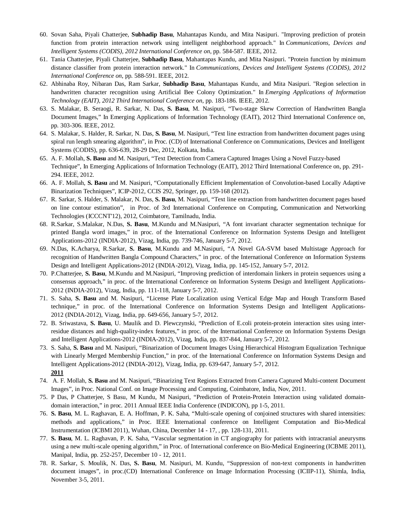- 60. Sovan Saha, Piyali Chatterjee, **Subhadip Basu**, Mahantapas Kundu, and Mita Nasipuri. "Improving prediction of protein function from protein interaction network using intelligent neighborhood approach." In *Communications, Devices and Intelligent Systems (CODIS), 2012 International Conference on*, pp. 584-587. IEEE, 2012.
- 61. Tania Chatterjee, Piyali Chatterjee, **Subhadip Basu**, Mahantapas Kundu, and Mita Nasipuri. "Protein function by minimum distance classifier from protein interaction network." In *Communications, Devices and Intelligent Systems (CODIS), 2012 International Conference on*, pp. 588-591. IEEE, 2012.
- 62. Abhinaba Roy, Nibaran Das, Ram Sarkar, **Subhadip Basu**, Mahantapas Kundu, and Mita Nasipuri. "Region selection in handwritten character recognition using Artificial Bee Colony Optimization." In *Emerging Applications of Information Technology (EAIT), 2012 Third International Conference on*, pp. 183-186. IEEE, 2012.
- 63. S. Malakar, B. Seraogi, R. Sarkar, N. Das, **S. Basu**, M. Nasipuri, "Two-stage Skew Correction of Handwritten Bangla Document Images," In Emerging Applications of Information Technology (EAIT), 2012 Third International Conference on, pp. 303-306. IEEE, 2012.
- 64. S. Malakar, S. Halder, R. Sarkar, N. Das, **S. Basu**, M. Nasipuri, "Text line extraction from handwritten document pages using spiral run length smearing algorithm", in Proc. (CD) of International Conference on Communications, Devices and Intelligent Systems (CODIS), pp. 636-639, 28-29 Dec, 2012, Kolkata, India.
- 65. A. F. Mollah, **S. Basu** and M. Nasipuri, "Text Detection from Camera Captured Images Using a Novel Fuzzy-based Technique", In Emerging Applications of Information Technology (EAIT), 2012 Third International Conference on, pp. 291- 294. IEEE, 2012.
- 66. A. F. Mollah, **S. Basu** and M. Nasipuri, "Computationally Efficient Implementation of Convolution-based Locally Adaptive Binarization Techniques", ICIP-2012, CCIS 292, Springer, pp. 159-168 (2012).
- 67. R. Sarkar, S. Halder, S. Malakar, N. Das, **S. Basu**, M. Nasipuri, "Text line extraction from handwritten document pages based on line contour estimation", in Proc. of 3rd International Conference on Computing, Communication and Networking Technologies (ICCCNT'12), 2012, Coimbatore, Tamilnadu, India.
- 68. R.Sarkar, S.Malakar, N.Das, **S. Basu**, M.Kundu and M.Nasipuri, "A font invariant character segmentation technique for printed Bangla word images," in proc. of the International Conference on Information Systems Design and Intelligent Applications-2012 (INDIA-2012), Vizag, India, pp. 739-746, January 5-7, 2012.
- 69. N.Das, K.Acharya, R.Sarkar, **S. Basu**, M.Kundu and M.Nasipuri, "A Novel GA-SVM based Multistage Approach for recognition of Handwritten Bangla Compound Characters," in proc. of the International Conference on Information Systems Design and Intelligent Applications-2012 (INDIA-2012), Vizag, India, pp. 145-152, January 5-7, 2012.
- 70. P.Chatterjee, **S. Basu**, M.Kundu and M.Nasipuri, "Improving prediction of interdomain linkers in protein sequences using a consensus approach," in proc. of the International Conference on Information Systems Design and Intelligent Applications-2012 (INDIA-2012), Vizag, India, pp. 111-118, January 5-7, 2012.
- 71. S. Saha, **S. Basu** and M. Nasipuri, "License Plate Localization using Vertical Edge Map and Hough Transform Based technique," in proc. of the International Conference on Information Systems Design and Intelligent Applications-2012 (INDIA-2012), Vizag, India, pp. 649-656, January 5-7, 2012.
- 72. B. Sriwastava, **S. Basu**, U. Maulik and D. Plewczynski, "Prediction of E.coli protein-protein interaction sites using interresidue distances and high-quality-index features," in proc. of the International Conference on Information Systems Design and Intelligent Applications-2012 (INDIA-2012), Vizag, India, pp. 837-844, January 5-7, 2012.
- 73. S. Saha, **S. Basu** and M. Nasipuri, "Binarization of Document Images Using Hierarchical Histogram Equalization Technique with Linearly Merged Membership Function," in proc. of the International Conference on Information Systems Design and Intelligent Applications-2012 (INDIA-2012), Vizag, India, pp. 639-647, January 5-7, 2012. **2011**
- 74. A. F. Mollah, **S. Basu** and M. Nasipuri, "Binarizing Text Regions Extracted from Camera Captured Multi-content Document Images", in Proc. National Conf. on Image Processing and Computing, Coimbatore, India, Nov, 2011.
- 75. P Das, P Chatterjee, S Basu, M Kundu, M Nasipuri, "Prediction of Protein-Protein Interaction using validated domaindomain interaction," in proc. 2011 Annual IEEE India Conference (INDICON), pp 1-5, 2011.
- 76. **S. Basu**, M. L. Raghavan, E. A. Hoffman, P. K. Saha, "Multi-scale opening of conjoined structures with shared intensities: methods and applications," in Proc. IEEE International conference on Intelligent Computation and Bio-Medical Instrumentation (ICBMI 2011), Wuhan, China, December 14 - 17, , pp. 128-131, 2011.
- 77. **S. Basu**, M. L. Raghavan, P. K. Saha, "Vascular segmentation in CT angiography for patients with intracranial aneurysms using a new multi-scale opening algorithm," in Proc. of International conference on Bio-Medical Engineering (ICBME 2011), Manipal, India, pp. 252-257, December 10 - 12, 2011.
- 78. R. Sarkar, S. Moulik, N. Das, **S. Basu**, M. Nasipuri, M. Kundu, "Suppression of non-text components in handwritten document images", in proc.(CD) International Conference on Image Information Processing (ICIIP-11), Shimla, India, November 3-5, 2011.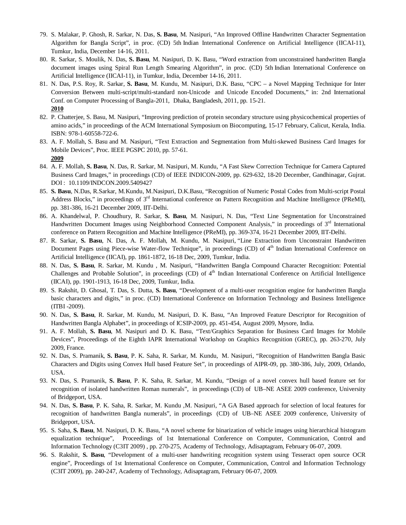- 79. S. Malakar, P. Ghosh, R. Sarkar, N. Das, **S. Basu**, M. Nasipuri, "An Improved Offline Handwritten Character Segmentation Algorithm for Bangla Script", in proc. (CD) 5th Indian International Conference on Artificial Intelligence (IICAI-11), Tumkur, India, December 14-16, 2011.
- 80. R. Sarkar, S. Moulik, N. Das, **S. Basu**, M. Nasipuri, D. K. Basu, "Word extraction from unconstrained handwritten Bangla document images using Spiral Run Length Smearing Algorithm", in proc. (CD) 5th Indian International Conference on Artificial Intelligence (IICAI-11), in Tumkur, India, December 14-16, 2011.
- 81. N. Das, P.S. Roy, R. Sarkar, **S. Basu**, M. Kundu, M. Nasipuri, D.K. Basu, "CPC a Novel Mapping Technique for Inter Conversion Between multi-script/multi-standard non-Unicode and Unicode Encoded Documents," in: 2nd International Conf. on Computer Processing of Bangla-2011, Dhaka, Bangladesh, 2011, pp. 15-21. **2010**
- 82. P. Chatterjee, S. Basu, M. Nasipuri, "Improving prediction of protein secondary structure using physicochemical properties of amino acids," in proceedings of the ACM International Symposium on Biocomputing, 15-17 February, Calicut, Kerala, India. ISBN: 978-1-60558-722-6.
- 83. A. F. Mollah, S. Basu and M. Nasipuri, "Text Extraction and Segmentation from Multi-skewed Business Card Images for Mobile Devices", Proc. IEEE PGSPC 2010, pp. 57-61. **2009**
- 84. A. F. Mollah, **S. Basu**, N. Das, R. Sarkar, M. Nasipuri, M. Kundu, "A Fast Skew Correction Technique for Camera Captured Business Card Images," in proceedings (CD) of IEEE INDICON-2009, pp. 629-632, 18-20 December, Gandhinagar, Gujrat. DOI : 10.1109/INDCON.2009.5409427
- 85. **S. Basu**, N.Das, R.Sarkar, M.Kundu, M.Nasipuri, D.K.Basu, "Recognition of Numeric Postal Codes from Multi-script Postal Address Blocks," in proceedings of 3<sup>rd</sup> International conference on Pattern Recognition and Machine Intelligence (PReMI), pp. 381-386, 16-21 December 2009, IIT-Delhi.
- 86. A. Khandelwal, P. Choudhury, R. Sarkar, **S. Basu**, M. Nasipuri, N. Das, "Text Line Segmentation for Unconstrained Handwritten Document Images using Neighborhood Connected Component Analysis," in proceedings of 3<sup>rd</sup> International conference on Pattern Recognition and Machine Intelligence (PReMI), pp. 369-374, 16-21 December 2009, IIT-Delhi.
- 87. R. Sarkar, **S. Basu**, N. Das, A. F. Mollah, M. Kundu, M. Nasipuri, "Line Extraction from Unconstraint Handwritten Document Pages using Piece-wise Water-flow Technique", in proceedings (CD) of 4<sup>th</sup> Indian International Conference on Artificial Intelligence (IICAI), pp. 1861-1872, 16-18 Dec, 2009, Tumkur, India.
- 88. N. Das, **S. Basu**, R. Sarkar, M. Kundu , M. Nasipuri, "Handwritten Bangla Compound Character Recognition: Potential Challenges and Probable Solution", in proceedings (CD) of 4<sup>th</sup> Indian International Conference on Artificial Intelligence (IICAI), pp. 1901-1913, 16-18 Dec, 2009, Tumkur, India.
- 89. S. Rakshit, D. Ghosal, T. Das, S. Dutta, **S. Basu**, "Development of a multi-user recognition engine for handwritten Bangla basic characters and digits," in proc. (CD) International Conference on Information Technology and Business Intelligence (ITBI -2009).
- 90. N. Das, **S. Basu**, R. Sarkar, M. Kundu, M. Nasipuri, D. K. Basu, "An Improved Feature Descriptor for Recognition of Handwritten Bangla Alphabet", in proceedings of ICSIP-2009, pp. 451-454, August 2009, Mysore, India.
- 91. A. F. Mollah, **S. Basu**, M. Nasipuri and D. K. Basu, "Text/Graphics Separation for Business Card Images for Mobile Devices", Proceedings of the Eighth IAPR International Workshop on Graphics Recognition (GREC), pp. 263-270, July 2009, France.
- 92. N. Das, S. Pramanik, **S. Basu**, P. K. Saha, R. Sarkar, M. Kundu, M. Nasipuri, "Recognition of Handwritten Bangla Basic Characters and Digits using Convex Hull based Feature Set", in proceedings of AIPR-09, pp. 380-386, July, 2009, Orlando, USA.
- 93. N. Das, S. Pramanik, **S. Basu**, P. K. Saha, R. Sarkar, M. Kundu, "Design of a novel convex hull based feature set for recognition of isolated handwritten Roman numerals", in proceedings (CD) of UB–NE ASEE 2009 conference, University of Bridgeport, USA.
- 94. N. Das, **S. Basu**, P. K. Saha, R. Sarkar, M. Kundu ,M. Nasipuri, "A GA Based approach for selection of local features for recognition of handwritten Bangla numerals", in proceedings (CD) of UB–NE ASEE 2009 conference, University of Bridgeport, USA.
- 95. S. Saha, **S. Basu**, M. Nasipuri, D. K. Basu, "A novel scheme for binarization of vehicle images using hierarchical histogram equalization technique", Proceedings of 1st International Conference on Computer, Communication, Control and Information Technology (C3IT 2009) , pp. 270-275, Academy of Technology, Adisaptagram, February 06-07, 2009.
- 96. S. Rakshit, **S. Basu**, "Development of a multi-user handwriting recognition system using Tesseract open source OCR engine", Proceedings of 1st International Conference on Computer, Communication, Control and Information Technology (C3IT 2009), pp. 240-247, Academy of Technology, Adisaptagram, February 06-07, 2009.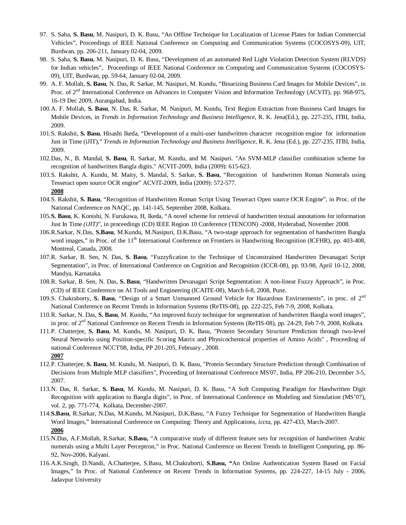- 97. S. Saha, **S. Basu**, M. Nasipuri, D. K. Basu, "An Offline Technique for Localization of License Plates for Indian Commercial Vehicles", Proceedings of IEEE National Conference on Computing and Communication Systems (COCOSYS-09), UIT, Burdwan, pp. 206-211, January 02-04, 2009.
- 98. S. Saha, **S. Basu**, M. Nasipuri, D. K. Basu, "Development of an automated Red Light Violation Detection System (RLVDS) for Indian vehicles", Proceedings of IEEE National Conference on Computing and Communication Systems (COCOSYS-09), UIT, Burdwan, pp. 59-64, January 02-04, 2009.
- 99. A. F. Mollah, **S. Basu**, N. Das, R. Sarkar, M. Nasipuri, M. Kundu, "Binarizing Business Card Images for Mobile Devices", in Proc. of 2<sup>nd</sup> International Conference on Advances in Computer Vision and Information Technology (ACVIT), pp. 968-975, 16-19 Dec 2009, Aurangabad, India.
- 100.A. F. Mollah, **S. Basu**, N. Das, R. Sarkar, M. Nasipuri, M. Kundu, Text Region Extraction from Business Card Images for Mobile Devices, in *Trends in Information Technology and Business Intelligence*, R. K. Jena(Ed.), pp. 227-235, ITBI, India, 2009.
- 101.S. Rakshit, **S. Basu**, Hisashi Ikeda, "Development of a multi-user handwritten character recognition engine for information Just in Time (iJIT)," *Trends in Information Technology and Business Intelligence*, R. K. Jena (Ed.), pp. 227-235, ITBI, India, 2009.
- 102.Das, N., B. Mandal, **S. Basu**, R. Sarkar, M. Kundu, and M. Nasipuri. "An SVM-MLP classifier combination scheme for recognition of handwritten Bangla digits." ACVIT-2009, India (2009): 615-623.
- 103.S. Rakshit, A. Kundu, M. Maity, S. Mandal, S. Sarkar, **S. Basu**, "Recognition of handwritten Roman Numerals using Tesseract open source OCR engine" ACVIT-2009, India (2009): 572-577. **2008**
- 104.S. Rakshit, **S. Basu**, "Recognition of Handwritten Roman Script Using Tesseract Open source OCR Engine", in Proc. of the National Conference on NAQC, pp. 141-145, September 2008, Kolkata.
- 105.**S. Basu**, K. Konishi, N. Furukawa, H, Ikeda, "A novel scheme for retrieval of handwritten textual annotations for information Just In Time *(iJIT)*", in proceedings (CD) IEEE Region 10 Conference (TENCON) -2008, Hyderabad, November 2008.
- 106.R.Sarkar, N.Das, **S.Basu**, M.Kundu, M.Nasipuri, D.K.Basu, "A two-stage approach for segmentation of handwritten Bangla word images," in Proc. of the 11<sup>th</sup> International Conference on Frontiers in Handwriting Recognition (ICFHR), pp. 403-408, Montreal, Canada, 2008.
- 107.R. Sarkar, B. Sen, N. Das, **S. Basu**, "Fuzzyfication to the Technique of Unconstrained Handwritten Devanagari Script Segmentation", in Proc. of International Conference on Cognition and Recognition (ICCR-08), pp. 93-98, April 10-12, 2008, Mandya, Karnataka.
- 108.R. Sarkar, B. Sen, N. Das, **S. Basu**, "Handwritten Devanagari Script Segmentation: A non-linear Fuzzy Approach", in Proc. (CD) of IEEE Conference on AI Tools and Engineering (ICAITE-08), March 6-8, 2008, Pune.
- 109.S. Chakraborty, S. Basu, "Design of a Smart Unmanned Ground Vehicle for Hazardous Environments", in proc. of 2<sup>nd</sup> National Conference on Recent Trends in Information Systems (ReTIS-08), pp. 222-225, Feb 7-9, 2008, Kolkata.
- 110.R. Sarkar, N. Das, **S. Basu**, M. Kundu, "An improved fuzzy technique for segmentation of handwritten Bangla word images", in proc. of 2<sup>nd</sup> National Conference on Recent Trends in Information Systems (ReTIS-08), pp. 24-29, Feb 7-9, 2008, Kolkata.
- 111.P. Chatterjee, **S. Basu**, M. Kundu, M. Nasipuri, D. K. Basu, "Protein Secondary Structure Prediction through two-level Neural Networks using Position-specific Scoring Matrix and Physicochemical properties of Amino Acids" , Proceeding of national Conference NCCT'08, India, PP 201-205, February , 2008. **2007**
- 112.P. Chatterjee, **S. Basu**, M. Kundu, M. Nasipuri, D. K. Basu, "Protein Secondary Structure Prediction through Combination of Decisions from Multiple MLP classifiers", Proceeding of International Conference MS'07, India, PP 206-210, December 3-5, 2007.
- 113.N. Das, R. Sarkar, **S. Basu**, M. Kundu, M. Nasipuri, D. K. Basu, "A Soft Computing Paradigm for Handwritten Digit Recognition with application to Bangla digits", in Proc. of International Conference on Modeling and Simulation (MS'07), vol. 2, pp. 771-774, Kolkata, December-2007.
- 114.**S.Basu**, R.Sarkar, N.Das, M.Kundu, M.Nasipuri, D.K.Basu, "A Fuzzy Technique for Segmentation of Handwritten Bangla Word Images," International Conference on Computing: Theory and Applications, *iccta*, pp. 427-433, March-2007. **2006**
- 115.N.Das, A.F.Mollah, R.Sarkar, **S.Basu,** "A comparative study of different feature sets for recognition of handwritten Arabic numerals using a Multi Layer Perceptron," in Proc. National Conference on Recent Trends in Intelligent Computing, pp. 86- 92, Nov-2006, Kalyani.
- 116.A.K.Singh, D.Nandi, A.Chatterjee, S.Basu, M.Chakraborti, **S.Basu, "**An Online Authentication System Based on Facial Images," In Proc. of National Conference on Recent Trends in Information Systems, pp. 224-227, 14-15 July - 2006, Jadavpur University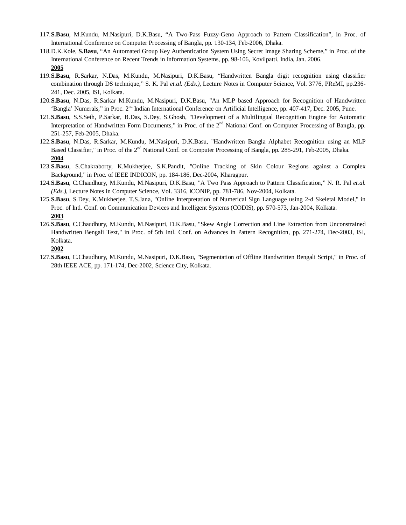- 117.**S.Basu**, M.Kundu, M.Nasipuri, D.K.Basu, "A Two-Pass Fuzzy-Geno Approach to Pattern Classification", in Proc. of International Conference on Computer Processing of Bangla, pp. 130-134, Feb-2006, Dhaka.
- 118.D.K.Kole, **S.Basu**, "An Automated Group Key Authentication System Using Secret Image Sharing Scheme," in Proc. of the International Conference on Recent Trends in Information Systems, pp. 98-106, Kovilpatti, India, Jan. 2006. **2005**
- 119.**S.Basu**, R.Sarkar, N.Das, M.Kundu, M.Nasipuri, D.K.Basu, "Handwritten Bangla digit recognition using classifier combination through DS technique," S. K. Pal *et.al. (Eds.),* Lecture Notes in Computer Science, Vol. 3776, PReMI, pp.236- 241, Dec. 2005, ISI, Kolkata.
- 120.**S.Basu**, N.Das, R.Sarkar M.Kundu, M.Nasipuri, D.K.Basu, "An MLP based Approach for Recognition of Handwritten 'Bangla' Numerals," in Proc. 2<sup>nd</sup> Indian International Conference on Artificial Intelligence, pp. 407-417, Dec. 2005, Pune.
- 121.**S.Basu**, S.S.Seth, P.Sarkar, B.Das, S.Dey, S.Ghosh, "Development of a Multilingual Recognition Engine for Automatic Interpretation of Handwritten Form Documents," in Proc. of the 2<sup>nd</sup> National Conf. on Computer Processing of Bangla, pp. 251-257, Feb-2005, Dhaka.
- 122.**S.Basu**, N.Das, R.Sarkar, M.Kundu, M.Nasipuri, D.K.Basu, "Handwritten Bangla Alphabet Recognition using an MLP Based Classifier," in Proc. of the 2<sup>nd</sup> National Conf. on Computer Processing of Bangla, pp. 285-291, Feb-2005, Dhaka. **2004**
- 123.**S.Basu**, S.Chakraborty, K.Mukherjee, S.K.Pandit, "Online Tracking of Skin Colour Regions against a Complex Background," in Proc. of IEEE INDICON, pp. 184-186, Dec-2004, Kharagpur.
- 124.**S.Basu**, C.Chaudhury, M.Kundu, M.Nasipuri, D.K.Basu, "A Two Pass Approach to Pattern Classification," N. R. Pal *et.al. (Eds.),* Lecture Notes in Computer Science, Vol. 3316, ICONIP, pp. 781-786, Nov-2004, Kolkata.
- 125.**S.Basu**, S.Dey, K.Mukherjee, T.S.Jana, "Online Interpretation of Numerical Sign Language using 2-d Skeletal Model," in Proc. of Intl. Conf. on Communication Devices and Intelligent Systems (CODIS), pp. 570-573, Jan-2004, Kolkata. **2003**
- 126.**S.Basu**, C.Chaudhury, M.Kundu, M.Nasipuri, D.K.Basu, "Skew Angle Correction and Line Extraction from Unconstrained Handwritten Bengali Text," in Proc. of 5th Intl. Conf. on Advances in Pattern Recognition, pp. 271-274, Dec-2003, ISI, Kolkata.

**2002**

127.**S.Basu**, C.Chaudhury, M.Kundu, M.Nasipuri, D.K.Basu, "Segmentation of Offline Handwritten Bengali Script," in Proc. of 28th IEEE ACE, pp. 171-174, Dec-2002, Science City, Kolkata.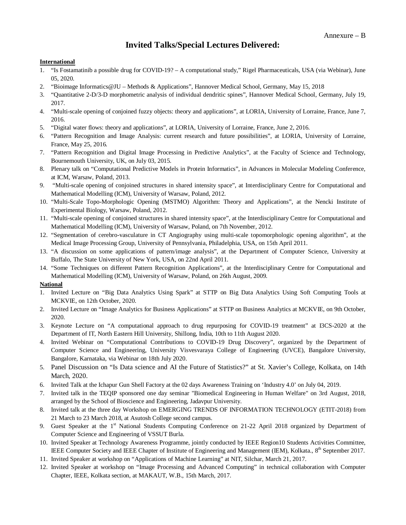# **Invited Talks/Special Lectures Delivered:**

#### **International**

- 1. "Is Fostamatinib a possible drug for COVID-19? A computational study," Rigel Pharmaceuticals, USA (via Webinar), June 05, 2020.
- 2. "Bioimage Informatics@JU Methods & Applications", Hannover Medical School, Germany, May 15, 2018
- 3. "Quantitative 2-D/3-D morphometric analysis of individual dendritic spines", Hannover Medical School, Germany, July 19, 2017.
- 4. "Multi-scale opening of conjoined fuzzy objects: theory and applications", at LORIA, University of Lorraine, France, June 7, 2016.
- 5. "Digital water flows: theory and applications", at LORIA, University of Lorraine, France, June 2, 2016.
- 6. "Pattern Recognition and Image Analysis: current research and future possibilities", at LORIA, University of Lorraine, France, May 25, 2016.
- 7. "Pattern Recognition and Digital Image Processing in Predictive Analytics", at the Faculty of Science and Technology, Bournemouth University, UK, on July 03, 2015.
- 8. Plenary talk on "Computational Predictive Models in Protein Informatics", in Advances in Molecular Modeling Conference, at ICM, Warsaw, Poland, 2013.
- 9. "Multi-scale opening of conjoined structures in shared intensity space", at Interdisciplinary Centre for Computational and Mathematical Modelling (ICM), University of Warsaw, Poland, 2012.
- 10. "Multi-Scale Topo-Morphologic Opening (MSTMO) Algorithm: Theory and Applications", at the Nencki Institute of Experimental Biology, Warsaw, Poland, 2012.
- 11. "Multi-scale opening of conjoined structures in shared intensity space", at the Interdisciplinary Centre for Computational and Mathematical Modelling (ICM), University of Warsaw, Poland, on 7th November, 2012.
- 12. "Segmentation of cerebro-vasculature in CT Angiography using multi-scale topomorphologic opening algorithm", at the Medical Image Processing Group, University of Pennsylvania, Philadelphia, USA, on 15th April 2011.
- 13. "A discussion on some applications of pattern/image analysis", at the Department of Computer Science, University at Buffalo, The State University of New York, USA, on 22nd April 2011.
- 14. "Some Techniques on different Pattern Recognition Applications", at the Interdisciplinary Centre for Computational and Mathematical Modelling (ICM), University of Warsaw, Poland, on 26th August, 2009.

### **National**

- 1. Invited Lecture on "Big Data Analytics Using Spark" at STTP on Big Data Analytics Using Soft Computing Tools at MCKVIE, on 12th October, 2020.
- 2. Invited Lecture on "Image Analytics for Business Applications" at STTP on Business Analytics at MCKVIE, on 9th October, 2020.
- 3. Keynote Lecture on "A computational approach to drug repurposing for COVID-19 treatment" at I3CS-2020 at the Department of IT, North Eastern Hill University, Shillong, India, 10th to 11th August 2020.
- 4. Invited Webinar on "Computational Contributions to COVID-19 Drug Discovery", organized by the Department of Computer Science and Engineering, University Visvesvaraya College of Engineering (UVCE), Bangalore University, Bangalore, Karnataka, via Webinar on 18th July 2020.
- 5. Panel Discussion on "Is Data science and AI the Future of Statistics?" at St. Xavier's College, Kolkata, on 14th March, 2020.
- 6. Invited Talk at the Ichapur Gun Shell Factory at the 02 days Awareness Training on 'Industry 4.0' on July 04, 2019.
- 7. Invited talk in the TEQIP sponsored one day seminar "Biomedical Engineering in Human Welfare" on 3rd August, 2018, arranged by the School of Bioscience and Engineering, Jadavpur University.
- 8. Invited talk at the three day Workshop on EMERGING TRENDS OF INFORMATION TECHNOLOGY (ETIT-2018) from 21 March to 23 March 2018, at Asutosh College second campus.
- 9. Guest Speaker at the 1<sup>st</sup> National Students Computing Conference on 21-22 April 2018 organized by Department of Computer Science and Engineering of VSSUT Burla.
- 10. Invited Speaker at Technology Awareness Programme, jointly conducted by IEEE Region10 Students Activities Committee, IEEE Computer Society and IEEE Chapter of Institute of Engineering and Management (IEM), Kolkata., 8<sup>th</sup> September 2017.
- 11. Invited Speaker at workshop on "Applications of Machine Learning" at NIT, Silchar, March 21, 2017.
- 12. Invited Speaker at workshop on "Image Processing and Advanced Computing" in technical collaboration with Computer Chapter, IEEE, Kolkata section, at MAKAUT, W.B., 15th March, 2017.